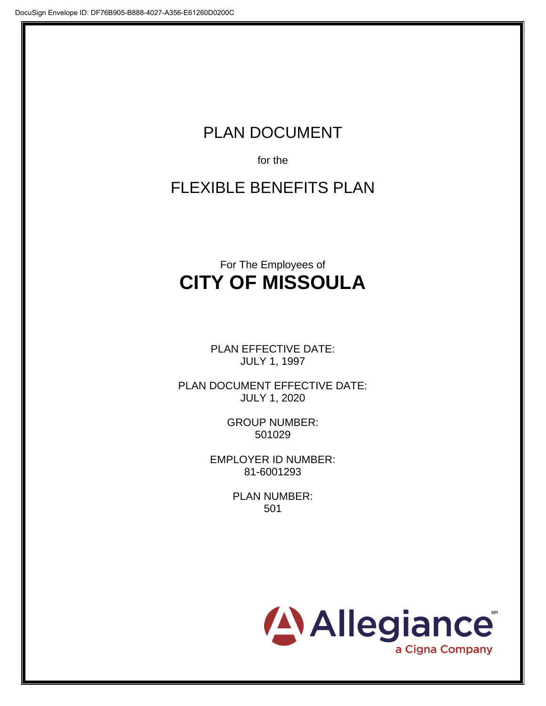# PLAN DOCUMENT

for the

FLEXIBLE BENEFITS PLAN

# For The Employees of **CITY OF MISSOULA**

PLAN EFFECTIVE DATE: JULY 1, 1997

PLAN DOCUMENT EFFECTIVE DATE: JULY 1, 2020

> GROUP NUMBER: 501029

EMPLOYER ID NUMBER: 81-6001293

> PLAN NUMBER: 501

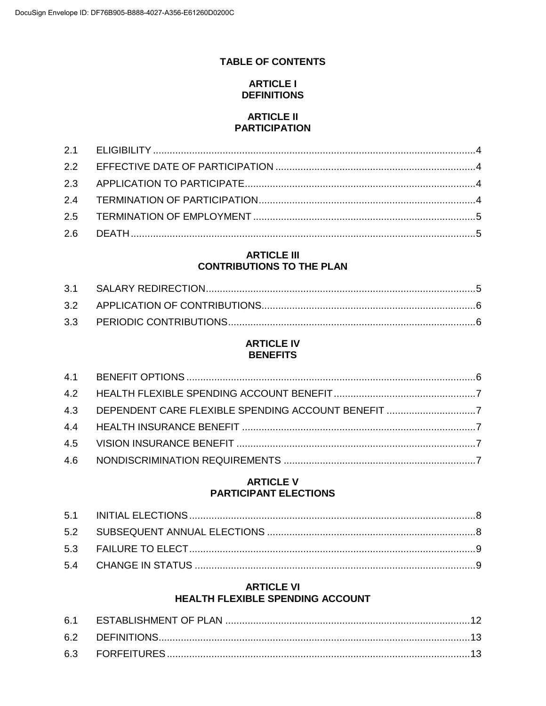# **TABLE OF CONTENTS**

## **ARTICLE I DEFINITIONS**

#### **ARTICLE II PARTICIPATION**

## **ARTICLE III CONTRIBUTIONS TO THE PLAN**

#### **ARTICLE IV BENEFITS**

## **ARTICLE V PARTICIPANT ELECTIONS**

# **ARTICLE VI** HEALTH FLEXIBLE SPENDING ACCOUNT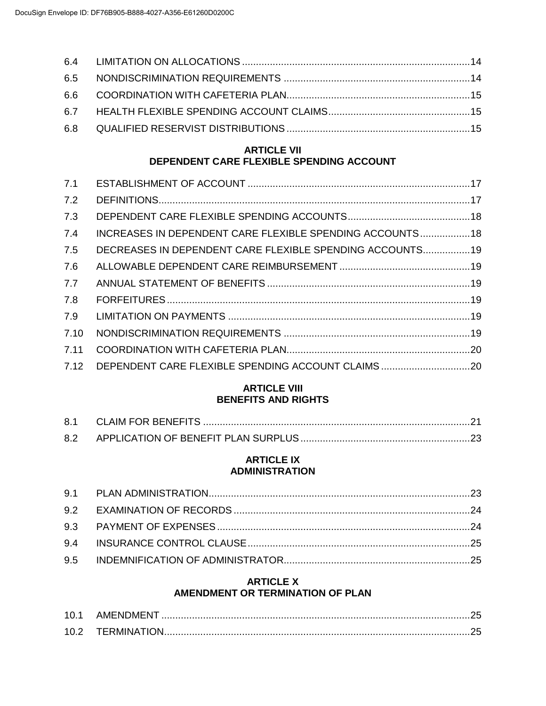# **ARTICLE VII DEPENDENT CARE FLEXIBLE SPENDING ACCOUNT**

| 7.1  |                                                           |  |
|------|-----------------------------------------------------------|--|
| 7.2  |                                                           |  |
| 7.3  |                                                           |  |
| 7.4  | INCREASES IN DEPENDENT CARE FLEXIBLE SPENDING ACCOUNTS 18 |  |
| 7.5  | DECREASES IN DEPENDENT CARE FLEXIBLE SPENDING ACCOUNTS 19 |  |
| 7.6  |                                                           |  |
| 7.7  |                                                           |  |
| 7.8  |                                                           |  |
| 7.9  |                                                           |  |
| 7.10 |                                                           |  |
| 7.11 |                                                           |  |
| 7.12 |                                                           |  |
|      |                                                           |  |

## **ARTICLE VIII BENEFITS AND RIGHTS**

| 8.2 |  |
|-----|--|

#### **ARTICLE IX ADMINISTRATION**

# **ARTICLE X AMENDMENT OR TERMINATION OF PLAN**

| 10.1              | AMENDMENT          |  |
|-------------------|--------------------|--|
| 10.2 <sub>1</sub> | <b>TERMINATION</b> |  |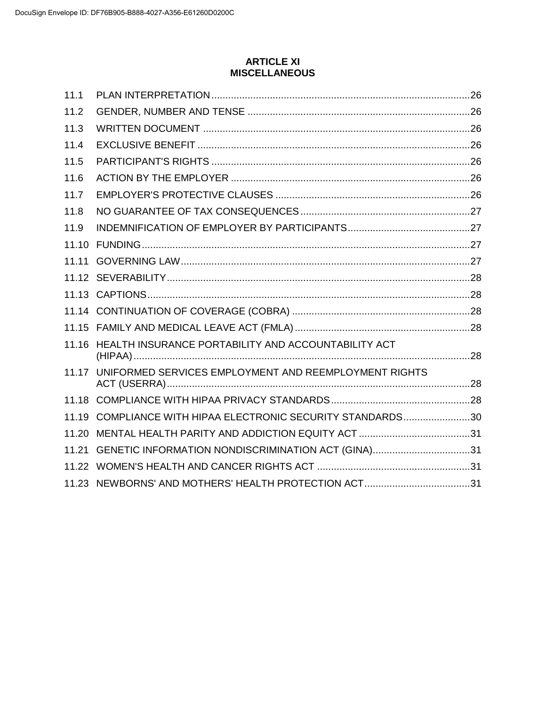## **ARTICLE XI MISCELLANEOUS**

| 11.1  |                                                       |  |
|-------|-------------------------------------------------------|--|
| 11.2  |                                                       |  |
| 11.3  |                                                       |  |
| 11.4  |                                                       |  |
| 11.5  |                                                       |  |
| 11.6  |                                                       |  |
| 11.7  |                                                       |  |
| 11.8  |                                                       |  |
| 11.9  |                                                       |  |
| 11.10 |                                                       |  |
| 11.11 |                                                       |  |
|       |                                                       |  |
|       |                                                       |  |
|       |                                                       |  |
|       |                                                       |  |
| 11.16 | HEALTH INSURANCE PORTABILITY AND ACCOUNTABILITY ACT   |  |
| 11.17 | UNIFORMED SERVICES EMPLOYMENT AND REEMPLOYMENT RIGHTS |  |
|       |                                                       |  |
| 11.19 | COMPLIANCE WITH HIPAA ELECTRONIC SECURITY STANDARDS30 |  |
| 11.20 |                                                       |  |
| 11.21 | GENETIC INFORMATION NONDISCRIMINATION ACT (GINA)31    |  |
|       |                                                       |  |
|       | 11.23 NEWBORNS' AND MOTHERS' HEALTH PROTECTION ACT31  |  |
|       |                                                       |  |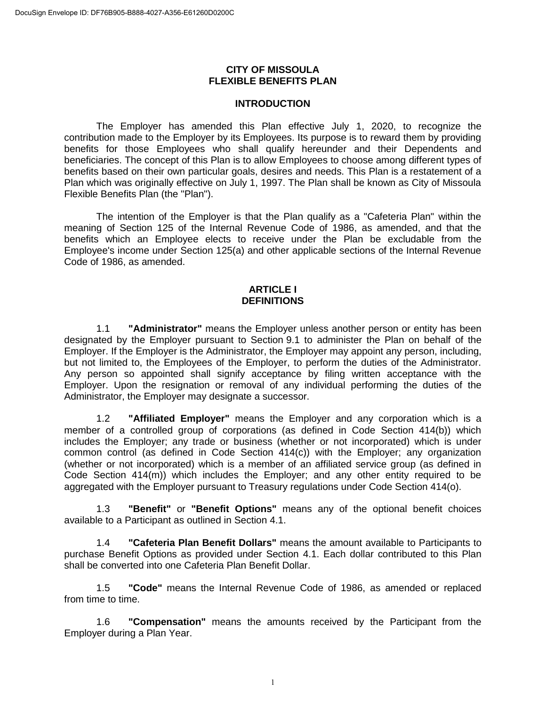#### **CITY OF MISSOULA FLEXIBLE BENEFITS PLAN**

#### **INTRODUCTION**

The Employer has amended this Plan effective July 1, 2020, to recognize the contribution made to the Employer by its Employees. Its purpose is to reward them by providing benefits for those Employees who shall qualify hereunder and their Dependents and beneficiaries. The concept of this Plan is to allow Employees to choose among different types of benefits based on their own particular goals, desires and needs. This Plan is a restatement of a Plan which was originally effective on July 1, 1997. The Plan shall be known as City of Missoula Flexible Benefits Plan (the "Plan").

The intention of the Employer is that the Plan qualify as a "Cafeteria Plan" within the meaning of Section 125 of the Internal Revenue Code of 1986, as amended, and that the benefits which an Employee elects to receive under the Plan be excludable from the Employee's income under Section 125(a) and other applicable sections of the Internal Revenue Code of 1986, as amended.

#### **ARTICLE I DEFINITIONS**

1.1 **"Administrator"** means the Employer unless another person or entity has been designated by the Employer pursuant to Section 9.1 to administer the Plan on behalf of the Employer. If the Employer is the Administrator, the Employer may appoint any person, including, but not limited to, the Employees of the Employer, to perform the duties of the Administrator. Any person so appointed shall signify acceptance by filing written acceptance with the Employer. Upon the resignation or removal of any individual performing the duties of the Administrator, the Employer may designate a successor.

1.2 **"Affiliated Employer"** means the Employer and any corporation which is a member of a controlled group of corporations (as defined in Code Section 414(b)) which includes the Employer; any trade or business (whether or not incorporated) which is under common control (as defined in Code Section 414(c)) with the Employer; any organization (whether or not incorporated) which is a member of an affiliated service group (as defined in Code Section 414(m)) which includes the Employer; and any other entity required to be aggregated with the Employer pursuant to Treasury regulations under Code Section 414(o).

1.3 **"Benefit"** or **"Benefit Options"** means any of the optional benefit choices available to a Participant as outlined in Section 4.1.

1.4 **"Cafeteria Plan Benefit Dollars"** means the amount available to Participants to purchase Benefit Options as provided under Section 4.1. Each dollar contributed to this Plan shall be converted into one Cafeteria Plan Benefit Dollar.

1.5 **"Code"** means the Internal Revenue Code of 1986, as amended or replaced from time to time.

1.6 **"Compensation"** means the amounts received by the Participant from the Employer during a Plan Year.

1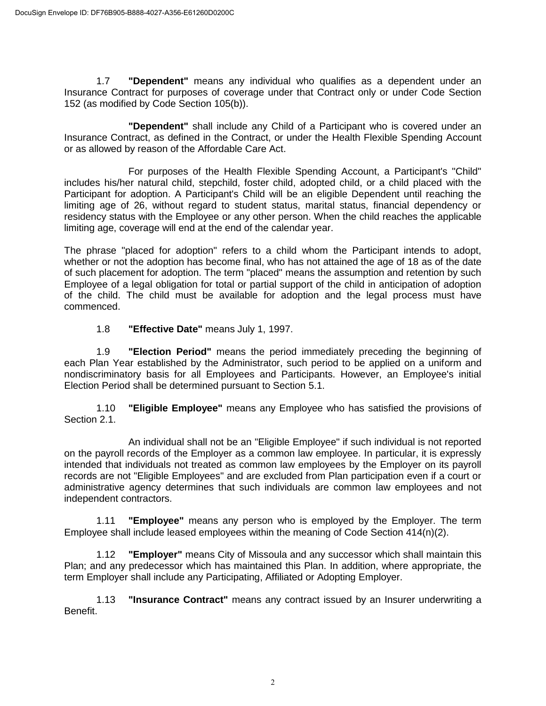1.7 **"Dependent"** means any individual who qualifies as a dependent under an Insurance Contract for purposes of coverage under that Contract only or under Code Section 152 (as modified by Code Section 105(b)).

**"Dependent"** shall include any Child of a Participant who is covered under an Insurance Contract, as defined in the Contract, or under the Health Flexible Spending Account or as allowed by reason of the Affordable Care Act.

For purposes of the Health Flexible Spending Account, a Participant's "Child" includes his/her natural child, stepchild, foster child, adopted child, or a child placed with the Participant for adoption. A Participant's Child will be an eligible Dependent until reaching the limiting age of 26, without regard to student status, marital status, financial dependency or residency status with the Employee or any other person. When the child reaches the applicable limiting age, coverage will end at the end of the calendar year.

The phrase "placed for adoption" refers to a child whom the Participant intends to adopt, whether or not the adoption has become final, who has not attained the age of 18 as of the date of such placement for adoption. The term "placed" means the assumption and retention by such Employee of a legal obligation for total or partial support of the child in anticipation of adoption of the child. The child must be available for adoption and the legal process must have commenced.

1.8 **"Effective Date"** means July 1, 1997.

1.9 **"Election Period"** means the period immediately preceding the beginning of each Plan Year established by the Administrator, such period to be applied on a uniform and nondiscriminatory basis for all Employees and Participants. However, an Employee's initial Election Period shall be determined pursuant to Section 5.1.

1.10 **"Eligible Employee"** means any Employee who has satisfied the provisions of Section 2.1.

An individual shall not be an "Eligible Employee" if such individual is not reported on the payroll records of the Employer as a common law employee. In particular, it is expressly intended that individuals not treated as common law employees by the Employer on its payroll records are not "Eligible Employees" and are excluded from Plan participation even if a court or administrative agency determines that such individuals are common law employees and not independent contractors.

1.11 **"Employee"** means any person who is employed by the Employer. The term Employee shall include leased employees within the meaning of Code Section  $414(n)(2)$ .

1.12 **"Employer"** means City of Missoula and any successor which shall maintain this Plan; and any predecessor which has maintained this Plan. In addition, where appropriate, the term Employer shall include any Participating, Affiliated or Adopting Employer.

1.13 **"Insurance Contract"** means any contract issued by an Insurer underwriting a Benefit.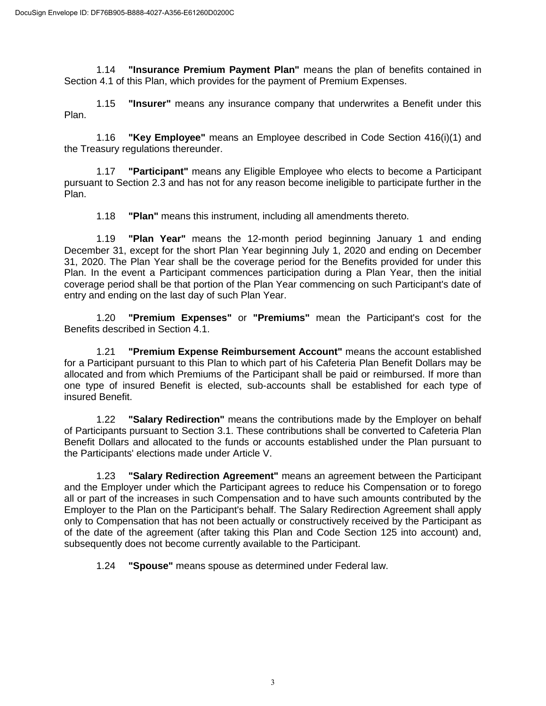1.14 **"Insurance Premium Payment Plan"** means the plan of benefits contained in Section 4.1 of this Plan, which provides for the payment of Premium Expenses.

1.15 **"Insurer"** means any insurance company that underwrites a Benefit under this Plan.

1.16 **"Key Employee"** means an Employee described in Code Section 416(i)(1) and the Treasury regulations thereunder.

1.17 **"Participant"** means any Eligible Employee who elects to become a Participant pursuant to Section 2.3 and has not for any reason become ineligible to participate further in the Plan.

1.18 **"Plan"** means this instrument, including all amendments thereto.

1.19 **"Plan Year"** means the 12-month period beginning January 1 and ending December 31, except for the short Plan Year beginning July 1, 2020 and ending on December 31, 2020. The Plan Year shall be the coverage period for the Benefits provided for under this Plan. In the event a Participant commences participation during a Plan Year, then the initial coverage period shall be that portion of the Plan Year commencing on such Participant's date of entry and ending on the last day of such Plan Year.

1.20 **"Premium Expenses"** or **"Premiums"** mean the Participant's cost for the Benefits described in Section 4.1.

1.21 **"Premium Expense Reimbursement Account"** means the account established for a Participant pursuant to this Plan to which part of his Cafeteria Plan Benefit Dollars may be allocated and from which Premiums of the Participant shall be paid or reimbursed. If more than one type of insured Benefit is elected, sub-accounts shall be established for each type of insured Benefit.

1.22 **"Salary Redirection"** means the contributions made by the Employer on behalf of Participants pursuant to Section 3.1. These contributions shall be converted to Cafeteria Plan Benefit Dollars and allocated to the funds or accounts established under the Plan pursuant to the Participants' elections made under Article V.

1.23 **"Salary Redirection Agreement"** means an agreement between the Participant and the Employer under which the Participant agrees to reduce his Compensation or to forego all or part of the increases in such Compensation and to have such amounts contributed by the Employer to the Plan on the Participant's behalf. The Salary Redirection Agreement shall apply only to Compensation that has not been actually or constructively received by the Participant as of the date of the agreement (after taking this Plan and Code Section 125 into account) and, subsequently does not become currently available to the Participant.

1.24 **"Spouse"** means spouse as determined under Federal law.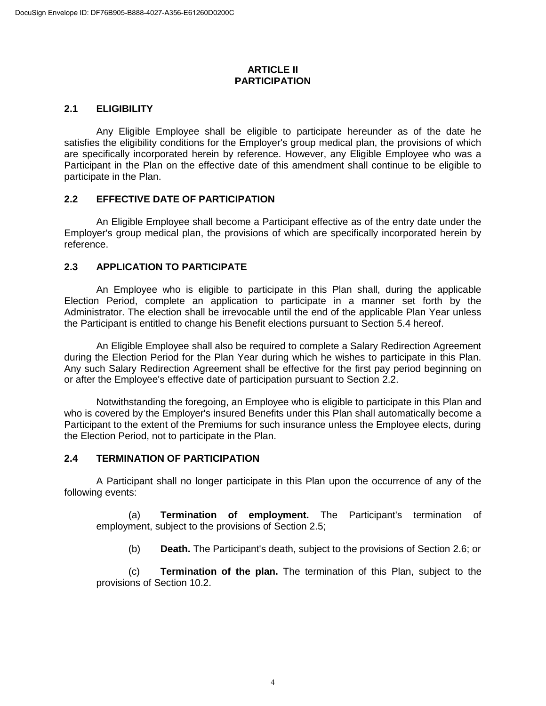#### **ARTICLE II PARTICIPATION**

## **2.1 ELIGIBILITY**

Any Eligible Employee shall be eligible to participate hereunder as of the date he satisfies the eligibility conditions for the Employer's group medical plan, the provisions of which are specifically incorporated herein by reference. However, any Eligible Employee who was a Participant in the Plan on the effective date of this amendment shall continue to be eligible to participate in the Plan.

## **2.2 EFFECTIVE DATE OF PARTICIPATION**

An Eligible Employee shall become a Participant effective as of the entry date under the Employer's group medical plan, the provisions of which are specifically incorporated herein by reference.

## **2.3 APPLICATION TO PARTICIPATE**

An Employee who is eligible to participate in this Plan shall, during the applicable Election Period, complete an application to participate in a manner set forth by the Administrator. The election shall be irrevocable until the end of the applicable Plan Year unless the Participant is entitled to change his Benefit elections pursuant to Section 5.4 hereof.

An Eligible Employee shall also be required to complete a Salary Redirection Agreement during the Election Period for the Plan Year during which he wishes to participate in this Plan. Any such Salary Redirection Agreement shall be effective for the first pay period beginning on or after the Employee's effective date of participation pursuant to Section 2.2.

Notwithstanding the foregoing, an Employee who is eligible to participate in this Plan and who is covered by the Employer's insured Benefits under this Plan shall automatically become a Participant to the extent of the Premiums for such insurance unless the Employee elects, during the Election Period, not to participate in the Plan.

## **2.4 TERMINATION OF PARTICIPATION**

A Participant shall no longer participate in this Plan upon the occurrence of any of the following events:

(a) **Termination of employment.** The Participant's termination of employment, subject to the provisions of Section 2.5;

(b) **Death.** The Participant's death, subject to the provisions of Section 2.6; or

(c) **Termination of the plan.** The termination of this Plan, subject to the provisions of Section 10.2.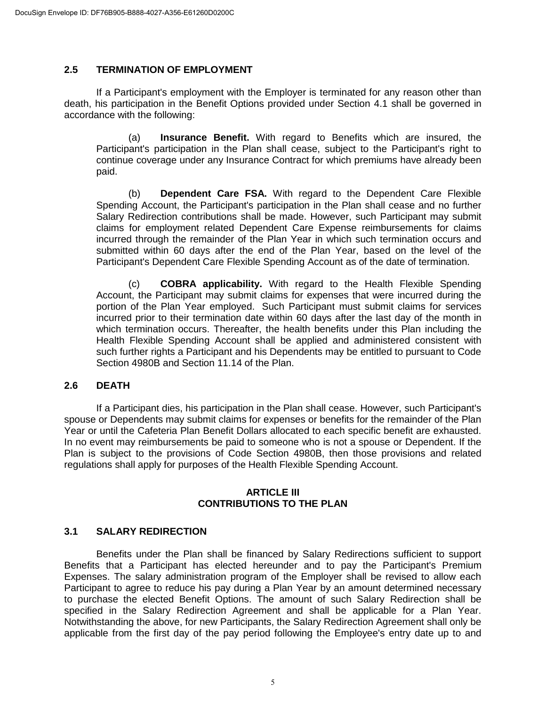## **2.5 TERMINATION OF EMPLOYMENT**

If a Participant's employment with the Employer is terminated for any reason other than death, his participation in the Benefit Options provided under Section 4.1 shall be governed in accordance with the following:

(a) **Insurance Benefit.** With regard to Benefits which are insured, the Participant's participation in the Plan shall cease, subject to the Participant's right to continue coverage under any Insurance Contract for which premiums have already been paid.

(b) **Dependent Care FSA.** With regard to the Dependent Care Flexible Spending Account, the Participant's participation in the Plan shall cease and no further Salary Redirection contributions shall be made. However, such Participant may submit claims for employment related Dependent Care Expense reimbursements for claims incurred through the remainder of the Plan Year in which such termination occurs and submitted within 60 days after the end of the Plan Year, based on the level of the Participant's Dependent Care Flexible Spending Account as of the date of termination.

(c) **COBRA applicability.** With regard to the Health Flexible Spending Account, the Participant may submit claims for expenses that were incurred during the portion of the Plan Year employed. Such Participant must submit claims for services incurred prior to their termination date within 60 days after the last day of the month in which termination occurs. Thereafter, the health benefits under this Plan including the Health Flexible Spending Account shall be applied and administered consistent with such further rights a Participant and his Dependents may be entitled to pursuant to Code Section 4980B and Section 11.14 of the Plan.

#### **2.6 DEATH**

If a Participant dies, his participation in the Plan shall cease. However, such Participant's spouse or Dependents may submit claims for expenses or benefits for the remainder of the Plan Year or until the Cafeteria Plan Benefit Dollars allocated to each specific benefit are exhausted. In no event may reimbursements be paid to someone who is not a spouse or Dependent. If the Plan is subject to the provisions of Code Section 4980B, then those provisions and related regulations shall apply for purposes of the Health Flexible Spending Account.

#### **ARTICLE III CONTRIBUTIONS TO THE PLAN**

## **3.1 SALARY REDIRECTION**

Benefits under the Plan shall be financed by Salary Redirections sufficient to support Benefits that a Participant has elected hereunder and to pay the Participant's Premium Expenses. The salary administration program of the Employer shall be revised to allow each Participant to agree to reduce his pay during a Plan Year by an amount determined necessary to purchase the elected Benefit Options. The amount of such Salary Redirection shall be specified in the Salary Redirection Agreement and shall be applicable for a Plan Year. Notwithstanding the above, for new Participants, the Salary Redirection Agreement shall only be applicable from the first day of the pay period following the Employee's entry date up to and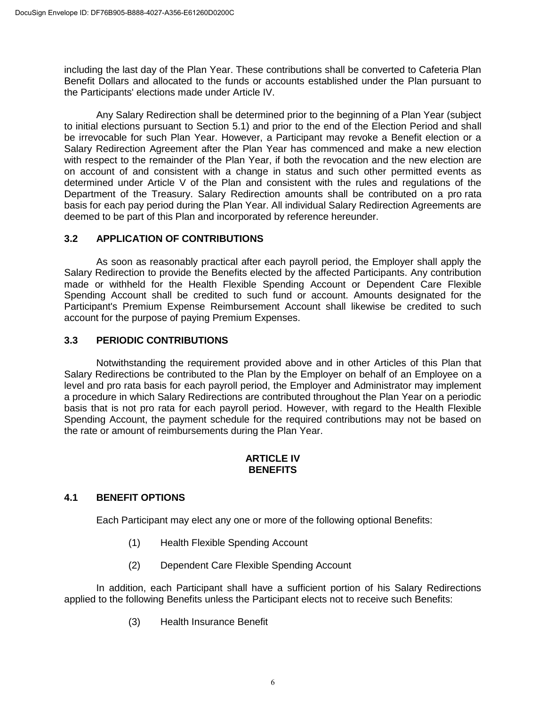including the last day of the Plan Year. These contributions shall be converted to Cafeteria Plan Benefit Dollars and allocated to the funds or accounts established under the Plan pursuant to the Participants' elections made under Article IV.

Any Salary Redirection shall be determined prior to the beginning of a Plan Year (subject to initial elections pursuant to Section 5.1) and prior to the end of the Election Period and shall be irrevocable for such Plan Year. However, a Participant may revoke a Benefit election or a Salary Redirection Agreement after the Plan Year has commenced and make a new election with respect to the remainder of the Plan Year, if both the revocation and the new election are on account of and consistent with a change in status and such other permitted events as determined under Article V of the Plan and consistent with the rules and regulations of the Department of the Treasury. Salary Redirection amounts shall be contributed on a pro rata basis for each pay period during the Plan Year. All individual Salary Redirection Agreements are deemed to be part of this Plan and incorporated by reference hereunder.

## **3.2 APPLICATION OF CONTRIBUTIONS**

As soon as reasonably practical after each payroll period, the Employer shall apply the Salary Redirection to provide the Benefits elected by the affected Participants. Any contribution made or withheld for the Health Flexible Spending Account or Dependent Care Flexible Spending Account shall be credited to such fund or account. Amounts designated for the Participant's Premium Expense Reimbursement Account shall likewise be credited to such account for the purpose of paying Premium Expenses.

## **3.3 PERIODIC CONTRIBUTIONS**

Notwithstanding the requirement provided above and in other Articles of this Plan that Salary Redirections be contributed to the Plan by the Employer on behalf of an Employee on a level and pro rata basis for each payroll period, the Employer and Administrator may implement a procedure in which Salary Redirections are contributed throughout the Plan Year on a periodic basis that is not pro rata for each payroll period. However, with regard to the Health Flexible Spending Account, the payment schedule for the required contributions may not be based on the rate or amount of reimbursements during the Plan Year.

## **ARTICLE IV BENEFITS**

## **4.1 BENEFIT OPTIONS**

Each Participant may elect any one or more of the following optional Benefits:

- (1) Health Flexible Spending Account
- (2) Dependent Care Flexible Spending Account

In addition, each Participant shall have a sufficient portion of his Salary Redirections applied to the following Benefits unless the Participant elects not to receive such Benefits:

(3) Health Insurance Benefit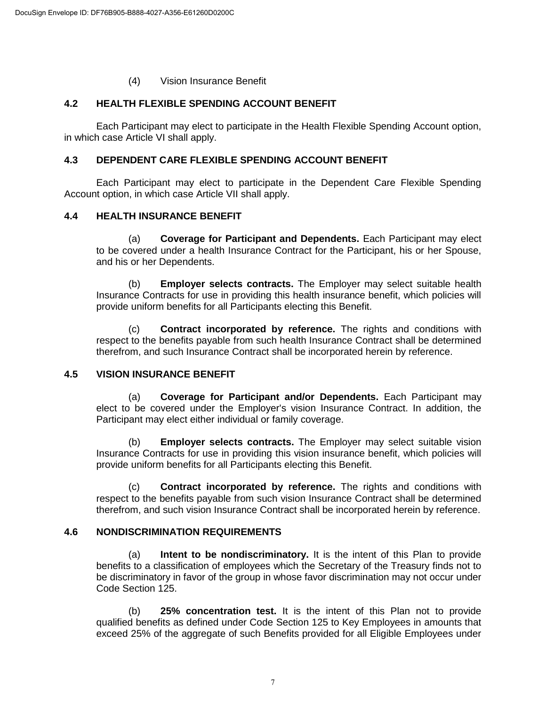#### (4) Vision Insurance Benefit

## **4.2 HEALTH FLEXIBLE SPENDING ACCOUNT BENEFIT**

Each Participant may elect to participate in the Health Flexible Spending Account option, in which case Article VI shall apply.

#### **4.3 DEPENDENT CARE FLEXIBLE SPENDING ACCOUNT BENEFIT**

Each Participant may elect to participate in the Dependent Care Flexible Spending Account option, in which case Article VII shall apply.

#### **4.4 HEALTH INSURANCE BENEFIT**

(a) **Coverage for Participant and Dependents.** Each Participant may elect to be covered under a health Insurance Contract for the Participant, his or her Spouse, and his or her Dependents.

(b) **Employer selects contracts.** The Employer may select suitable health Insurance Contracts for use in providing this health insurance benefit, which policies will provide uniform benefits for all Participants electing this Benefit.

(c) **Contract incorporated by reference.** The rights and conditions with respect to the benefits payable from such health Insurance Contract shall be determined therefrom, and such Insurance Contract shall be incorporated herein by reference.

#### **4.5 VISION INSURANCE BENEFIT**

(a) **Coverage for Participant and/or Dependents.** Each Participant may elect to be covered under the Employer's vision Insurance Contract. In addition, the Participant may elect either individual or family coverage.

(b) **Employer selects contracts.** The Employer may select suitable vision Insurance Contracts for use in providing this vision insurance benefit, which policies will provide uniform benefits for all Participants electing this Benefit.

(c) **Contract incorporated by reference.** The rights and conditions with respect to the benefits payable from such vision Insurance Contract shall be determined therefrom, and such vision Insurance Contract shall be incorporated herein by reference.

## **4.6 NONDISCRIMINATION REQUIREMENTS**

(a) **Intent to be nondiscriminatory.** It is the intent of this Plan to provide benefits to a classification of employees which the Secretary of the Treasury finds not to be discriminatory in favor of the group in whose favor discrimination may not occur under Code Section 125.

(b) **25% concentration test.** It is the intent of this Plan not to provide qualified benefits as defined under Code Section 125 to Key Employees in amounts that exceed 25% of the aggregate of such Benefits provided for all Eligible Employees under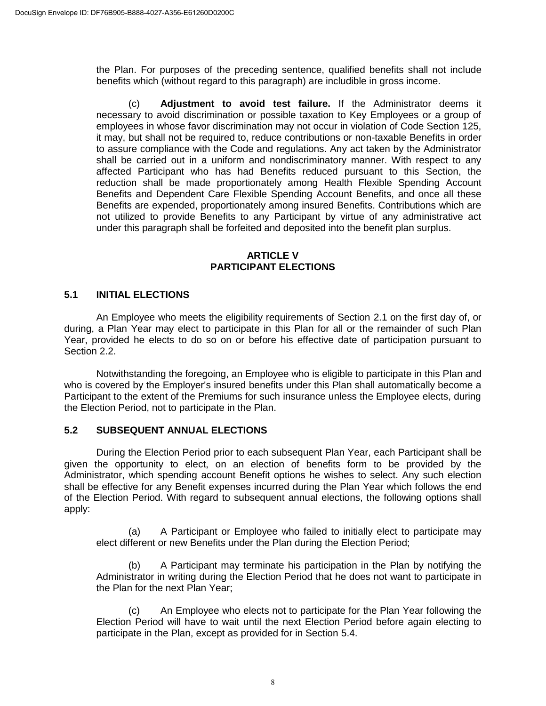the Plan. For purposes of the preceding sentence, qualified benefits shall not include benefits which (without regard to this paragraph) are includible in gross income.

(c) **Adjustment to avoid test failure.** If the Administrator deems it necessary to avoid discrimination or possible taxation to Key Employees or a group of employees in whose favor discrimination may not occur in violation of Code Section 125, it may, but shall not be required to, reduce contributions or non-taxable Benefits in order to assure compliance with the Code and regulations. Any act taken by the Administrator shall be carried out in a uniform and nondiscriminatory manner. With respect to any affected Participant who has had Benefits reduced pursuant to this Section, the reduction shall be made proportionately among Health Flexible Spending Account Benefits and Dependent Care Flexible Spending Account Benefits, and once all these Benefits are expended, proportionately among insured Benefits. Contributions which are not utilized to provide Benefits to any Participant by virtue of any administrative act under this paragraph shall be forfeited and deposited into the benefit plan surplus.

## **ARTICLE V PARTICIPANT ELECTIONS**

## **5.1 INITIAL ELECTIONS**

An Employee who meets the eligibility requirements of Section 2.1 on the first day of, or during, a Plan Year may elect to participate in this Plan for all or the remainder of such Plan Year, provided he elects to do so on or before his effective date of participation pursuant to Section 2.2.

Notwithstanding the foregoing, an Employee who is eligible to participate in this Plan and who is covered by the Employer's insured benefits under this Plan shall automatically become a Participant to the extent of the Premiums for such insurance unless the Employee elects, during the Election Period, not to participate in the Plan.

## **5.2 SUBSEQUENT ANNUAL ELECTIONS**

During the Election Period prior to each subsequent Plan Year, each Participant shall be given the opportunity to elect, on an election of benefits form to be provided by the Administrator, which spending account Benefit options he wishes to select. Any such election shall be effective for any Benefit expenses incurred during the Plan Year which follows the end of the Election Period. With regard to subsequent annual elections, the following options shall apply:

(a) A Participant or Employee who failed to initially elect to participate may elect different or new Benefits under the Plan during the Election Period;

(b) A Participant may terminate his participation in the Plan by notifying the Administrator in writing during the Election Period that he does not want to participate in the Plan for the next Plan Year;

(c) An Employee who elects not to participate for the Plan Year following the Election Period will have to wait until the next Election Period before again electing to participate in the Plan, except as provided for in Section 5.4.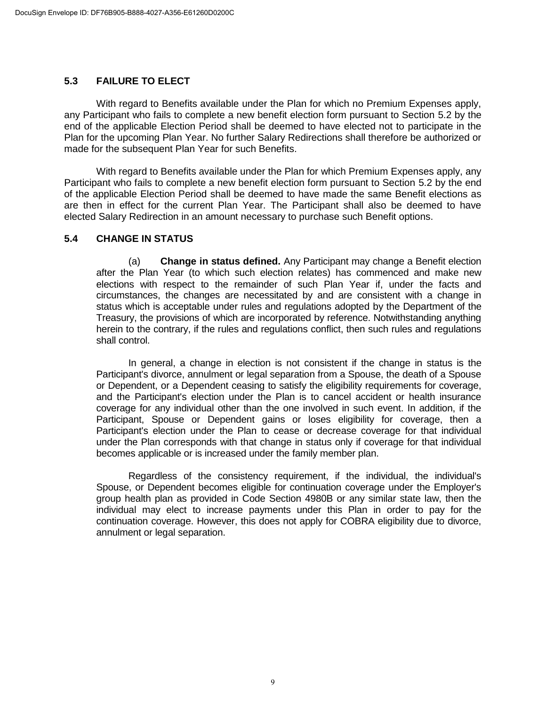## **5.3 FAILURE TO ELECT**

With regard to Benefits available under the Plan for which no Premium Expenses apply, any Participant who fails to complete a new benefit election form pursuant to Section 5.2 by the end of the applicable Election Period shall be deemed to have elected not to participate in the Plan for the upcoming Plan Year. No further Salary Redirections shall therefore be authorized or made for the subsequent Plan Year for such Benefits.

With regard to Benefits available under the Plan for which Premium Expenses apply, any Participant who fails to complete a new benefit election form pursuant to Section 5.2 by the end of the applicable Election Period shall be deemed to have made the same Benefit elections as are then in effect for the current Plan Year. The Participant shall also be deemed to have elected Salary Redirection in an amount necessary to purchase such Benefit options.

## **5.4 CHANGE IN STATUS**

(a) **Change in status defined.** Any Participant may change a Benefit election after the Plan Year (to which such election relates) has commenced and make new elections with respect to the remainder of such Plan Year if, under the facts and circumstances, the changes are necessitated by and are consistent with a change in status which is acceptable under rules and regulations adopted by the Department of the Treasury, the provisions of which are incorporated by reference. Notwithstanding anything herein to the contrary, if the rules and regulations conflict, then such rules and regulations shall control.

In general, a change in election is not consistent if the change in status is the Participant's divorce, annulment or legal separation from a Spouse, the death of a Spouse or Dependent, or a Dependent ceasing to satisfy the eligibility requirements for coverage, and the Participant's election under the Plan is to cancel accident or health insurance coverage for any individual other than the one involved in such event. In addition, if the Participant, Spouse or Dependent gains or loses eligibility for coverage, then a Participant's election under the Plan to cease or decrease coverage for that individual under the Plan corresponds with that change in status only if coverage for that individual becomes applicable or is increased under the family member plan.

Regardless of the consistency requirement, if the individual, the individual's Spouse, or Dependent becomes eligible for continuation coverage under the Employer's group health plan as provided in Code Section 4980B or any similar state law, then the individual may elect to increase payments under this Plan in order to pay for the continuation coverage. However, this does not apply for COBRA eligibility due to divorce, annulment or legal separation.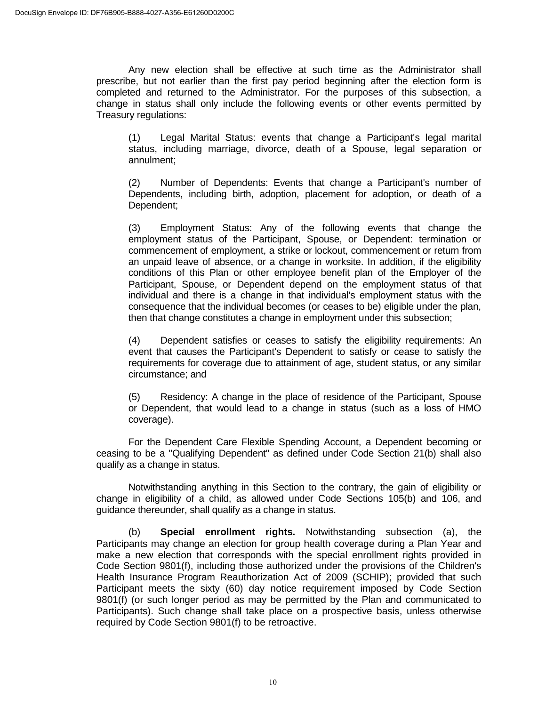Any new election shall be effective at such time as the Administrator shall prescribe, but not earlier than the first pay period beginning after the election form is completed and returned to the Administrator. For the purposes of this subsection, a change in status shall only include the following events or other events permitted by Treasury regulations:

(1) Legal Marital Status: events that change a Participant's legal marital status, including marriage, divorce, death of a Spouse, legal separation or annulment;

(2) Number of Dependents: Events that change a Participant's number of Dependents, including birth, adoption, placement for adoption, or death of a Dependent;

(3) Employment Status: Any of the following events that change the employment status of the Participant, Spouse, or Dependent: termination or commencement of employment, a strike or lockout, commencement or return from an unpaid leave of absence, or a change in worksite. In addition, if the eligibility conditions of this Plan or other employee benefit plan of the Employer of the Participant, Spouse, or Dependent depend on the employment status of that individual and there is a change in that individual's employment status with the consequence that the individual becomes (or ceases to be) eligible under the plan, then that change constitutes a change in employment under this subsection;

(4) Dependent satisfies or ceases to satisfy the eligibility requirements: An event that causes the Participant's Dependent to satisfy or cease to satisfy the requirements for coverage due to attainment of age, student status, or any similar circumstance; and

(5) Residency: A change in the place of residence of the Participant, Spouse or Dependent, that would lead to a change in status (such as a loss of HMO coverage).

For the Dependent Care Flexible Spending Account, a Dependent becoming or ceasing to be a "Qualifying Dependent" as defined under Code Section 21(b) shall also qualify as a change in status.

Notwithstanding anything in this Section to the contrary, the gain of eligibility or change in eligibility of a child, as allowed under Code Sections 105(b) and 106, and guidance thereunder, shall qualify as a change in status.

(b) **Special enrollment rights.** Notwithstanding subsection (a), the Participants may change an election for group health coverage during a Plan Year and make a new election that corresponds with the special enrollment rights provided in Code Section 9801(f), including those authorized under the provisions of the Children's Health Insurance Program Reauthorization Act of 2009 (SCHIP); provided that such Participant meets the sixty (60) day notice requirement imposed by Code Section 9801(f) (or such longer period as may be permitted by the Plan and communicated to Participants). Such change shall take place on a prospective basis, unless otherwise required by Code Section 9801(f) to be retroactive.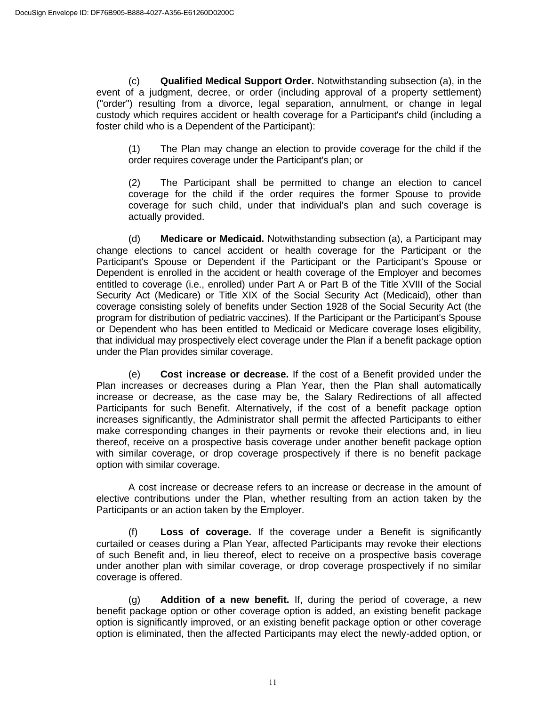(c) **Qualified Medical Support Order.** Notwithstanding subsection (a), in the event of a judgment, decree, or order (including approval of a property settlement) ("order") resulting from a divorce, legal separation, annulment, or change in legal custody which requires accident or health coverage for a Participant's child (including a foster child who is a Dependent of the Participant):

(1) The Plan may change an election to provide coverage for the child if the order requires coverage under the Participant's plan; or

(2) The Participant shall be permitted to change an election to cancel coverage for the child if the order requires the former Spouse to provide coverage for such child, under that individual's plan and such coverage is actually provided.

(d) **Medicare or Medicaid.** Notwithstanding subsection (a), a Participant may change elections to cancel accident or health coverage for the Participant or the Participant's Spouse or Dependent if the Participant or the Participant's Spouse or Dependent is enrolled in the accident or health coverage of the Employer and becomes entitled to coverage (i.e., enrolled) under Part A or Part B of the Title XVIII of the Social Security Act (Medicare) or Title XIX of the Social Security Act (Medicaid), other than coverage consisting solely of benefits under Section 1928 of the Social Security Act (the program for distribution of pediatric vaccines). If the Participant or the Participant's Spouse or Dependent who has been entitled to Medicaid or Medicare coverage loses eligibility, that individual may prospectively elect coverage under the Plan if a benefit package option under the Plan provides similar coverage.

(e) **Cost increase or decrease.** If the cost of a Benefit provided under the Plan increases or decreases during a Plan Year, then the Plan shall automatically increase or decrease, as the case may be, the Salary Redirections of all affected Participants for such Benefit. Alternatively, if the cost of a benefit package option increases significantly, the Administrator shall permit the affected Participants to either make corresponding changes in their payments or revoke their elections and, in lieu thereof, receive on a prospective basis coverage under another benefit package option with similar coverage, or drop coverage prospectively if there is no benefit package option with similar coverage.

A cost increase or decrease refers to an increase or decrease in the amount of elective contributions under the Plan, whether resulting from an action taken by the Participants or an action taken by the Employer.

(f) **Loss of coverage.** If the coverage under a Benefit is significantly curtailed or ceases during a Plan Year, affected Participants may revoke their elections of such Benefit and, in lieu thereof, elect to receive on a prospective basis coverage under another plan with similar coverage, or drop coverage prospectively if no similar coverage is offered.

(g) **Addition of a new benefit.** If, during the period of coverage, a new benefit package option or other coverage option is added, an existing benefit package option is significantly improved, or an existing benefit package option or other coverage option is eliminated, then the affected Participants may elect the newly-added option, or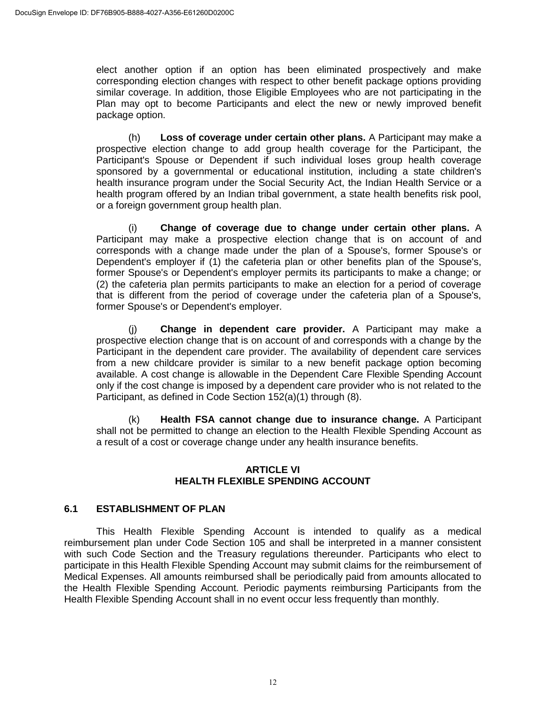elect another option if an option has been eliminated prospectively and make corresponding election changes with respect to other benefit package options providing similar coverage. In addition, those Eligible Employees who are not participating in the Plan may opt to become Participants and elect the new or newly improved benefit package option.

(h) **Loss of coverage under certain other plans.** A Participant may make a prospective election change to add group health coverage for the Participant, the Participant's Spouse or Dependent if such individual loses group health coverage sponsored by a governmental or educational institution, including a state children's health insurance program under the Social Security Act, the Indian Health Service or a health program offered by an Indian tribal government, a state health benefits risk pool, or a foreign government group health plan.

(i) **Change of coverage due to change under certain other plans.** A Participant may make a prospective election change that is on account of and corresponds with a change made under the plan of a Spouse's, former Spouse's or Dependent's employer if (1) the cafeteria plan or other benefits plan of the Spouse's, former Spouse's or Dependent's employer permits its participants to make a change; or (2) the cafeteria plan permits participants to make an election for a period of coverage that is different from the period of coverage under the cafeteria plan of a Spouse's, former Spouse's or Dependent's employer.

(j) **Change in dependent care provider.** A Participant may make a prospective election change that is on account of and corresponds with a change by the Participant in the dependent care provider. The availability of dependent care services from a new childcare provider is similar to a new benefit package option becoming available. A cost change is allowable in the Dependent Care Flexible Spending Account only if the cost change is imposed by a dependent care provider who is not related to the Participant, as defined in Code Section 152(a)(1) through (8).

(k) **Health FSA cannot change due to insurance change.** A Participant shall not be permitted to change an election to the Health Flexible Spending Account as a result of a cost or coverage change under any health insurance benefits.

## **ARTICLE VI HEALTH FLEXIBLE SPENDING ACCOUNT**

## **6.1 ESTABLISHMENT OF PLAN**

This Health Flexible Spending Account is intended to qualify as a medical reimbursement plan under Code Section 105 and shall be interpreted in a manner consistent with such Code Section and the Treasury regulations thereunder. Participants who elect to participate in this Health Flexible Spending Account may submit claims for the reimbursement of Medical Expenses. All amounts reimbursed shall be periodically paid from amounts allocated to the Health Flexible Spending Account. Periodic payments reimbursing Participants from the Health Flexible Spending Account shall in no event occur less frequently than monthly.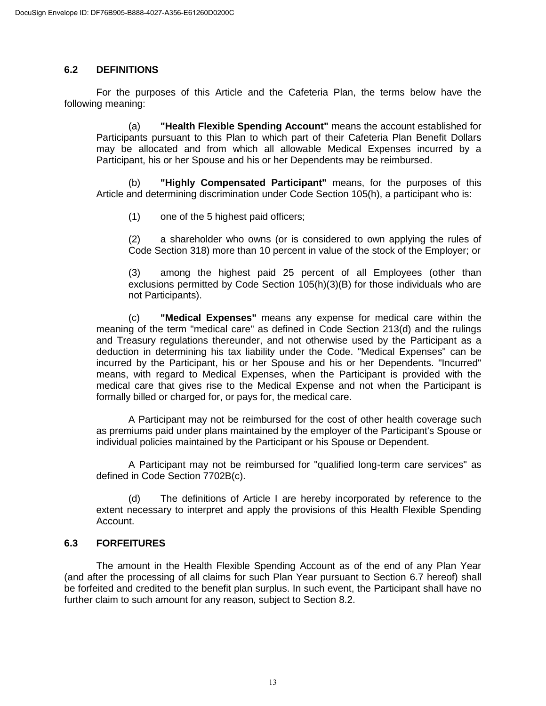#### **6.2 DEFINITIONS**

For the purposes of this Article and the Cafeteria Plan, the terms below have the following meaning:

(a) **"Health Flexible Spending Account"** means the account established for Participants pursuant to this Plan to which part of their Cafeteria Plan Benefit Dollars may be allocated and from which all allowable Medical Expenses incurred by a Participant, his or her Spouse and his or her Dependents may be reimbursed.

(b) **"Highly Compensated Participant"** means, for the purposes of this Article and determining discrimination under Code Section 105(h), a participant who is:

(1) one of the 5 highest paid officers;

(2) a shareholder who owns (or is considered to own applying the rules of Code Section 318) more than 10 percent in value of the stock of the Employer; or

(3) among the highest paid 25 percent of all Employees (other than exclusions permitted by Code Section 105(h)(3)(B) for those individuals who are not Participants).

(c) **"Medical Expenses"** means any expense for medical care within the meaning of the term "medical care" as defined in Code Section 213(d) and the rulings and Treasury regulations thereunder, and not otherwise used by the Participant as a deduction in determining his tax liability under the Code. "Medical Expenses" can be incurred by the Participant, his or her Spouse and his or her Dependents. "Incurred" means, with regard to Medical Expenses, when the Participant is provided with the medical care that gives rise to the Medical Expense and not when the Participant is formally billed or charged for, or pays for, the medical care.

A Participant may not be reimbursed for the cost of other health coverage such as premiums paid under plans maintained by the employer of the Participant's Spouse or individual policies maintained by the Participant or his Spouse or Dependent.

A Participant may not be reimbursed for "qualified long-term care services" as defined in Code Section 7702B(c).

(d) The definitions of Article I are hereby incorporated by reference to the extent necessary to interpret and apply the provisions of this Health Flexible Spending Account.

## **6.3 FORFEITURES**

The amount in the Health Flexible Spending Account as of the end of any Plan Year (and after the processing of all claims for such Plan Year pursuant to Section 6.7 hereof) shall be forfeited and credited to the benefit plan surplus. In such event, the Participant shall have no further claim to such amount for any reason, subject to Section 8.2.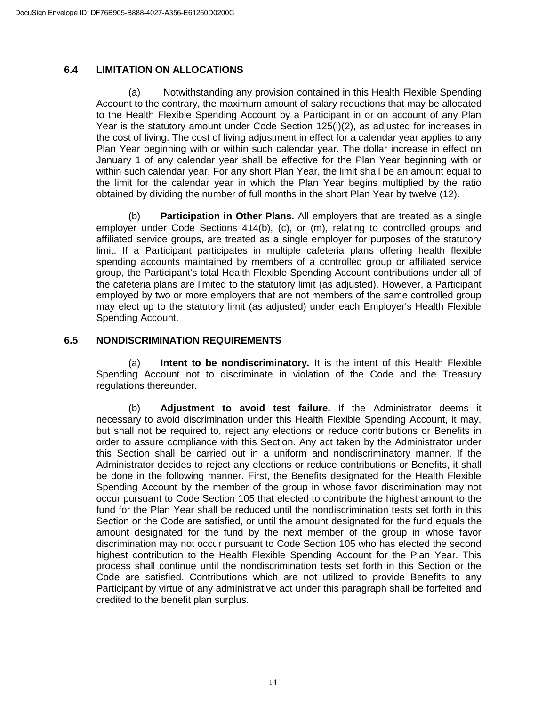## **6.4 LIMITATION ON ALLOCATIONS**

(a) Notwithstanding any provision contained in this Health Flexible Spending Account to the contrary, the maximum amount of salary reductions that may be allocated to the Health Flexible Spending Account by a Participant in or on account of any Plan Year is the statutory amount under Code Section 125(i)(2), as adjusted for increases in the cost of living. The cost of living adjustment in effect for a calendar year applies to any Plan Year beginning with or within such calendar year. The dollar increase in effect on January 1 of any calendar year shall be effective for the Plan Year beginning with or within such calendar year. For any short Plan Year, the limit shall be an amount equal to the limit for the calendar year in which the Plan Year begins multiplied by the ratio obtained by dividing the number of full months in the short Plan Year by twelve (12).

(b) **Participation in Other Plans.** All employers that are treated as a single employer under Code Sections 414(b), (c), or (m), relating to controlled groups and affiliated service groups, are treated as a single employer for purposes of the statutory limit. If a Participant participates in multiple cafeteria plans offering health flexible spending accounts maintained by members of a controlled group or affiliated service group, the Participant's total Health Flexible Spending Account contributions under all of the cafeteria plans are limited to the statutory limit (as adjusted). However, a Participant employed by two or more employers that are not members of the same controlled group may elect up to the statutory limit (as adjusted) under each Employer's Health Flexible Spending Account.

## **6.5 NONDISCRIMINATION REQUIREMENTS**

(a) **Intent to be nondiscriminatory.** It is the intent of this Health Flexible Spending Account not to discriminate in violation of the Code and the Treasury regulations thereunder.

(b) **Adjustment to avoid test failure.** If the Administrator deems it necessary to avoid discrimination under this Health Flexible Spending Account, it may, but shall not be required to, reject any elections or reduce contributions or Benefits in order to assure compliance with this Section. Any act taken by the Administrator under this Section shall be carried out in a uniform and nondiscriminatory manner. If the Administrator decides to reject any elections or reduce contributions or Benefits, it shall be done in the following manner. First, the Benefits designated for the Health Flexible Spending Account by the member of the group in whose favor discrimination may not occur pursuant to Code Section 105 that elected to contribute the highest amount to the fund for the Plan Year shall be reduced until the nondiscrimination tests set forth in this Section or the Code are satisfied, or until the amount designated for the fund equals the amount designated for the fund by the next member of the group in whose favor discrimination may not occur pursuant to Code Section 105 who has elected the second highest contribution to the Health Flexible Spending Account for the Plan Year. This process shall continue until the nondiscrimination tests set forth in this Section or the Code are satisfied. Contributions which are not utilized to provide Benefits to any Participant by virtue of any administrative act under this paragraph shall be forfeited and credited to the benefit plan surplus.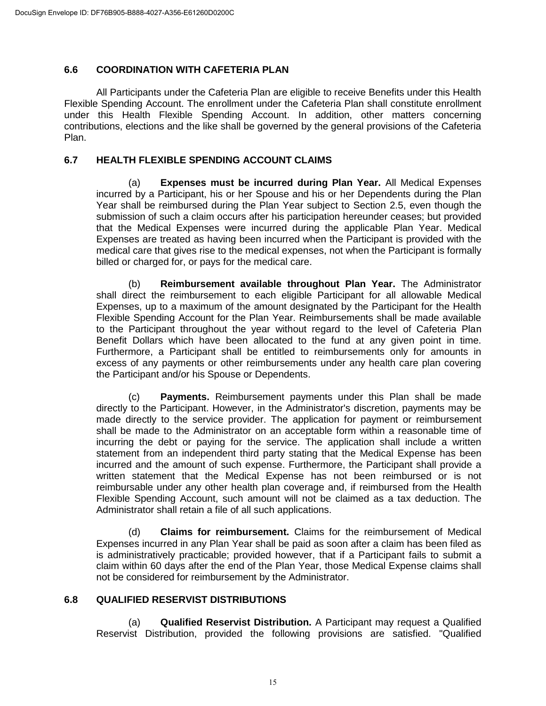## **6.6 COORDINATION WITH CAFETERIA PLAN**

All Participants under the Cafeteria Plan are eligible to receive Benefits under this Health Flexible Spending Account. The enrollment under the Cafeteria Plan shall constitute enrollment under this Health Flexible Spending Account. In addition, other matters concerning contributions, elections and the like shall be governed by the general provisions of the Cafeteria Plan.

## **6.7 HEALTH FLEXIBLE SPENDING ACCOUNT CLAIMS**

(a) **Expenses must be incurred during Plan Year.** All Medical Expenses incurred by a Participant, his or her Spouse and his or her Dependents during the Plan Year shall be reimbursed during the Plan Year subject to Section 2.5, even though the submission of such a claim occurs after his participation hereunder ceases; but provided that the Medical Expenses were incurred during the applicable Plan Year. Medical Expenses are treated as having been incurred when the Participant is provided with the medical care that gives rise to the medical expenses, not when the Participant is formally billed or charged for, or pays for the medical care.

(b) **Reimbursement available throughout Plan Year.** The Administrator shall direct the reimbursement to each eligible Participant for all allowable Medical Expenses, up to a maximum of the amount designated by the Participant for the Health Flexible Spending Account for the Plan Year. Reimbursements shall be made available to the Participant throughout the year without regard to the level of Cafeteria Plan Benefit Dollars which have been allocated to the fund at any given point in time. Furthermore, a Participant shall be entitled to reimbursements only for amounts in excess of any payments or other reimbursements under any health care plan covering the Participant and/or his Spouse or Dependents.

(c) **Payments.** Reimbursement payments under this Plan shall be made directly to the Participant. However, in the Administrator's discretion, payments may be made directly to the service provider. The application for payment or reimbursement shall be made to the Administrator on an acceptable form within a reasonable time of incurring the debt or paying for the service. The application shall include a written statement from an independent third party stating that the Medical Expense has been incurred and the amount of such expense. Furthermore, the Participant shall provide a written statement that the Medical Expense has not been reimbursed or is not reimbursable under any other health plan coverage and, if reimbursed from the Health Flexible Spending Account, such amount will not be claimed as a tax deduction. The Administrator shall retain a file of all such applications.

(d) **Claims for reimbursement.** Claims for the reimbursement of Medical Expenses incurred in any Plan Year shall be paid as soon after a claim has been filed as is administratively practicable; provided however, that if a Participant fails to submit a claim within 60 days after the end of the Plan Year, those Medical Expense claims shall not be considered for reimbursement by the Administrator.

## **6.8 QUALIFIED RESERVIST DISTRIBUTIONS**

(a) **Qualified Reservist Distribution.** A Participant may request a Qualified Reservist Distribution, provided the following provisions are satisfied. "Qualified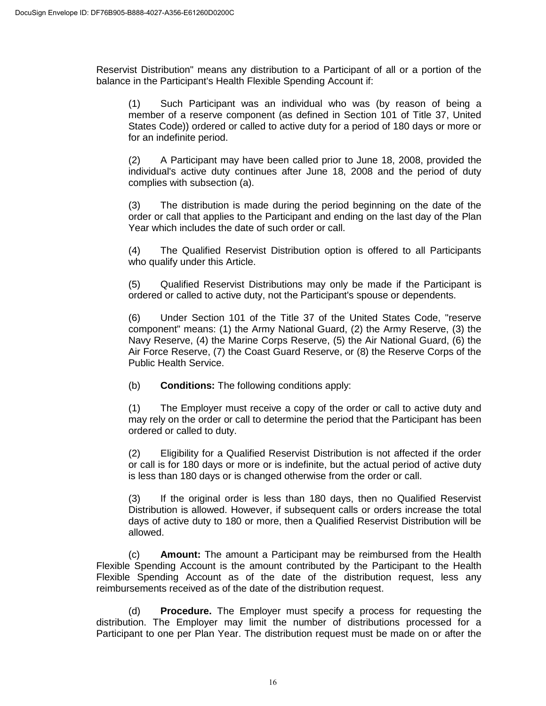Reservist Distribution" means any distribution to a Participant of all or a portion of the balance in the Participant's Health Flexible Spending Account if:

(1) Such Participant was an individual who was (by reason of being a member of a reserve component (as defined in Section 101 of Title 37, United States Code)) ordered or called to active duty for a period of 180 days or more or for an indefinite period.

(2) A Participant may have been called prior to June 18, 2008, provided the individual's active duty continues after June 18, 2008 and the period of duty complies with subsection (a).

(3) The distribution is made during the period beginning on the date of the order or call that applies to the Participant and ending on the last day of the Plan Year which includes the date of such order or call.

(4) The Qualified Reservist Distribution option is offered to all Participants who qualify under this Article.

(5) Qualified Reservist Distributions may only be made if the Participant is ordered or called to active duty, not the Participant's spouse or dependents.

(6) Under Section 101 of the Title 37 of the United States Code, "reserve component" means: (1) the Army National Guard, (2) the Army Reserve, (3) the Navy Reserve, (4) the Marine Corps Reserve, (5) the Air National Guard, (6) the Air Force Reserve, (7) the Coast Guard Reserve, or (8) the Reserve Corps of the Public Health Service.

(b) **Conditions:** The following conditions apply:

(1) The Employer must receive a copy of the order or call to active duty and may rely on the order or call to determine the period that the Participant has been ordered or called to duty.

(2) Eligibility for a Qualified Reservist Distribution is not affected if the order or call is for 180 days or more or is indefinite, but the actual period of active duty is less than 180 days or is changed otherwise from the order or call.

(3) If the original order is less than 180 days, then no Qualified Reservist Distribution is allowed. However, if subsequent calls or orders increase the total days of active duty to 180 or more, then a Qualified Reservist Distribution will be allowed.

(c) **Amount:** The amount a Participant may be reimbursed from the Health Flexible Spending Account is the amount contributed by the Participant to the Health Flexible Spending Account as of the date of the distribution request, less any reimbursements received as of the date of the distribution request.

(d) **Procedure.** The Employer must specify a process for requesting the distribution. The Employer may limit the number of distributions processed for a Participant to one per Plan Year. The distribution request must be made on or after the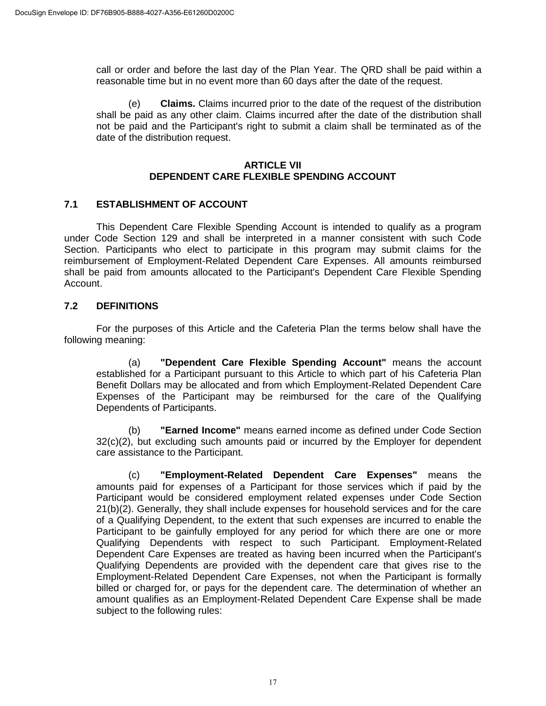call or order and before the last day of the Plan Year. The QRD shall be paid within a reasonable time but in no event more than 60 days after the date of the request.

(e) **Claims.** Claims incurred prior to the date of the request of the distribution shall be paid as any other claim. Claims incurred after the date of the distribution shall not be paid and the Participant's right to submit a claim shall be terminated as of the date of the distribution request.

#### **ARTICLE VII DEPENDENT CARE FLEXIBLE SPENDING ACCOUNT**

## **7.1 ESTABLISHMENT OF ACCOUNT**

This Dependent Care Flexible Spending Account is intended to qualify as a program under Code Section 129 and shall be interpreted in a manner consistent with such Code Section. Participants who elect to participate in this program may submit claims for the reimbursement of Employment-Related Dependent Care Expenses. All amounts reimbursed shall be paid from amounts allocated to the Participant's Dependent Care Flexible Spending Account.

## **7.2 DEFINITIONS**

For the purposes of this Article and the Cafeteria Plan the terms below shall have the following meaning:

(a) **"Dependent Care Flexible Spending Account"** means the account established for a Participant pursuant to this Article to which part of his Cafeteria Plan Benefit Dollars may be allocated and from which Employment-Related Dependent Care Expenses of the Participant may be reimbursed for the care of the Qualifying Dependents of Participants.

(b) **"Earned Income"** means earned income as defined under Code Section 32(c)(2), but excluding such amounts paid or incurred by the Employer for dependent care assistance to the Participant.

(c) **"Employment-Related Dependent Care Expenses"** means the amounts paid for expenses of a Participant for those services which if paid by the Participant would be considered employment related expenses under Code Section 21(b)(2). Generally, they shall include expenses for household services and for the care of a Qualifying Dependent, to the extent that such expenses are incurred to enable the Participant to be gainfully employed for any period for which there are one or more Qualifying Dependents with respect to such Participant. Employment-Related Dependent Care Expenses are treated as having been incurred when the Participant's Qualifying Dependents are provided with the dependent care that gives rise to the Employment-Related Dependent Care Expenses, not when the Participant is formally billed or charged for, or pays for the dependent care. The determination of whether an amount qualifies as an Employment-Related Dependent Care Expense shall be made subject to the following rules: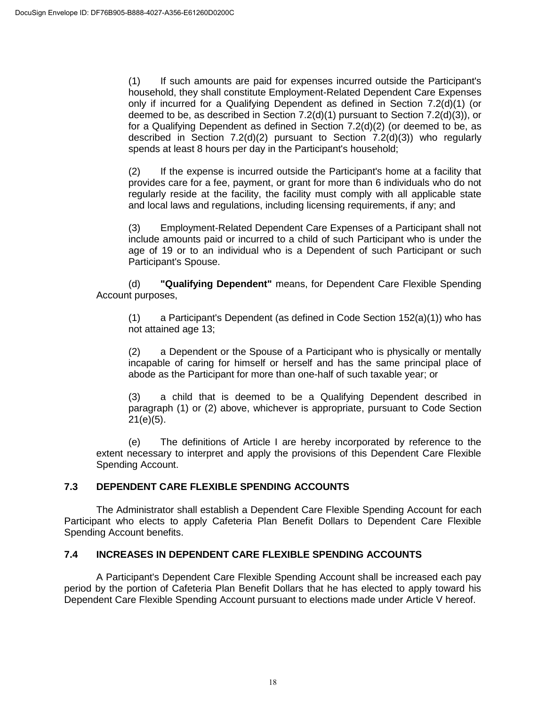(1) If such amounts are paid for expenses incurred outside the Participant's household, they shall constitute Employment-Related Dependent Care Expenses only if incurred for a Qualifying Dependent as defined in Section 7.2(d)(1) (or deemed to be, as described in Section 7.2(d)(1) pursuant to Section 7.2(d)(3)), or for a Qualifying Dependent as defined in Section 7.2(d)(2) (or deemed to be, as described in Section 7.2(d)(2) pursuant to Section 7.2(d)(3)) who regularly spends at least 8 hours per day in the Participant's household;

(2) If the expense is incurred outside the Participant's home at a facility that provides care for a fee, payment, or grant for more than 6 individuals who do not regularly reside at the facility, the facility must comply with all applicable state and local laws and regulations, including licensing requirements, if any; and

(3) Employment-Related Dependent Care Expenses of a Participant shall not include amounts paid or incurred to a child of such Participant who is under the age of 19 or to an individual who is a Dependent of such Participant or such Participant's Spouse.

(d) **"Qualifying Dependent"** means, for Dependent Care Flexible Spending Account purposes,

(1) a Participant's Dependent (as defined in Code Section  $152(a)(1)$ ) who has not attained age 13;

(2) a Dependent or the Spouse of a Participant who is physically or mentally incapable of caring for himself or herself and has the same principal place of abode as the Participant for more than one-half of such taxable year; or

(3) a child that is deemed to be a Qualifying Dependent described in paragraph (1) or (2) above, whichever is appropriate, pursuant to Code Section 21(e)(5).

(e) The definitions of Article I are hereby incorporated by reference to the extent necessary to interpret and apply the provisions of this Dependent Care Flexible Spending Account.

## **7.3 DEPENDENT CARE FLEXIBLE SPENDING ACCOUNTS**

The Administrator shall establish a Dependent Care Flexible Spending Account for each Participant who elects to apply Cafeteria Plan Benefit Dollars to Dependent Care Flexible Spending Account benefits.

## **7.4 INCREASES IN DEPENDENT CARE FLEXIBLE SPENDING ACCOUNTS**

A Participant's Dependent Care Flexible Spending Account shall be increased each pay period by the portion of Cafeteria Plan Benefit Dollars that he has elected to apply toward his Dependent Care Flexible Spending Account pursuant to elections made under Article V hereof.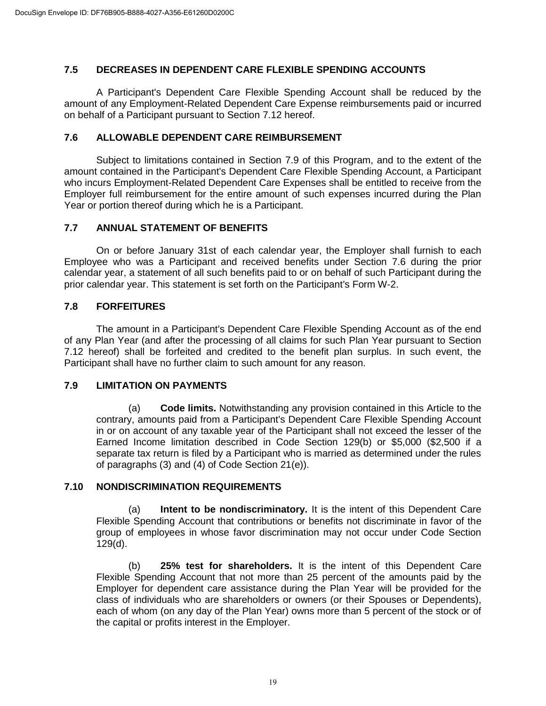## **7.5 DECREASES IN DEPENDENT CARE FLEXIBLE SPENDING ACCOUNTS**

A Participant's Dependent Care Flexible Spending Account shall be reduced by the amount of any Employment-Related Dependent Care Expense reimbursements paid or incurred on behalf of a Participant pursuant to Section 7.12 hereof.

## **7.6 ALLOWABLE DEPENDENT CARE REIMBURSEMENT**

Subject to limitations contained in Section 7.9 of this Program, and to the extent of the amount contained in the Participant's Dependent Care Flexible Spending Account, a Participant who incurs Employment-Related Dependent Care Expenses shall be entitled to receive from the Employer full reimbursement for the entire amount of such expenses incurred during the Plan Year or portion thereof during which he is a Participant.

## **7.7 ANNUAL STATEMENT OF BENEFITS**

On or before January 31st of each calendar year, the Employer shall furnish to each Employee who was a Participant and received benefits under Section 7.6 during the prior calendar year, a statement of all such benefits paid to or on behalf of such Participant during the prior calendar year. This statement is set forth on the Participant's Form W-2.

## **7.8 FORFEITURES**

The amount in a Participant's Dependent Care Flexible Spending Account as of the end of any Plan Year (and after the processing of all claims for such Plan Year pursuant to Section 7.12 hereof) shall be forfeited and credited to the benefit plan surplus. In such event, the Participant shall have no further claim to such amount for any reason.

#### **7.9 LIMITATION ON PAYMENTS**

(a) **Code limits.** Notwithstanding any provision contained in this Article to the contrary, amounts paid from a Participant's Dependent Care Flexible Spending Account in or on account of any taxable year of the Participant shall not exceed the lesser of the Earned Income limitation described in Code Section 129(b) or \$5,000 (\$2,500 if a separate tax return is filed by a Participant who is married as determined under the rules of paragraphs (3) and (4) of Code Section 21(e)).

## **7.10 NONDISCRIMINATION REQUIREMENTS**

(a) **Intent to be nondiscriminatory.** It is the intent of this Dependent Care Flexible Spending Account that contributions or benefits not discriminate in favor of the group of employees in whose favor discrimination may not occur under Code Section 129(d).

(b) **25% test for shareholders.** It is the intent of this Dependent Care Flexible Spending Account that not more than 25 percent of the amounts paid by the Employer for dependent care assistance during the Plan Year will be provided for the class of individuals who are shareholders or owners (or their Spouses or Dependents), each of whom (on any day of the Plan Year) owns more than 5 percent of the stock or of the capital or profits interest in the Employer.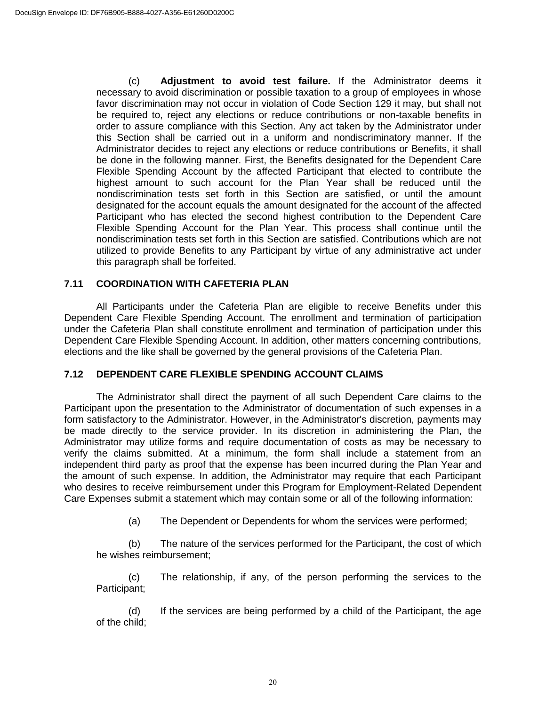(c) **Adjustment to avoid test failure.** If the Administrator deems it necessary to avoid discrimination or possible taxation to a group of employees in whose favor discrimination may not occur in violation of Code Section 129 it may, but shall not be required to, reject any elections or reduce contributions or non-taxable benefits in order to assure compliance with this Section. Any act taken by the Administrator under this Section shall be carried out in a uniform and nondiscriminatory manner. If the Administrator decides to reject any elections or reduce contributions or Benefits, it shall be done in the following manner. First, the Benefits designated for the Dependent Care Flexible Spending Account by the affected Participant that elected to contribute the highest amount to such account for the Plan Year shall be reduced until the nondiscrimination tests set forth in this Section are satisfied, or until the amount designated for the account equals the amount designated for the account of the affected Participant who has elected the second highest contribution to the Dependent Care Flexible Spending Account for the Plan Year. This process shall continue until the nondiscrimination tests set forth in this Section are satisfied. Contributions which are not utilized to provide Benefits to any Participant by virtue of any administrative act under this paragraph shall be forfeited.

## **7.11 COORDINATION WITH CAFETERIA PLAN**

All Participants under the Cafeteria Plan are eligible to receive Benefits under this Dependent Care Flexible Spending Account. The enrollment and termination of participation under the Cafeteria Plan shall constitute enrollment and termination of participation under this Dependent Care Flexible Spending Account. In addition, other matters concerning contributions, elections and the like shall be governed by the general provisions of the Cafeteria Plan.

#### **7.12 DEPENDENT CARE FLEXIBLE SPENDING ACCOUNT CLAIMS**

The Administrator shall direct the payment of all such Dependent Care claims to the Participant upon the presentation to the Administrator of documentation of such expenses in a form satisfactory to the Administrator. However, in the Administrator's discretion, payments may be made directly to the service provider. In its discretion in administering the Plan, the Administrator may utilize forms and require documentation of costs as may be necessary to verify the claims submitted. At a minimum, the form shall include a statement from an independent third party as proof that the expense has been incurred during the Plan Year and the amount of such expense. In addition, the Administrator may require that each Participant who desires to receive reimbursement under this Program for Employment-Related Dependent Care Expenses submit a statement which may contain some or all of the following information:

(a) The Dependent or Dependents for whom the services were performed;

(b) The nature of the services performed for the Participant, the cost of which he wishes reimbursement;

(c) The relationship, if any, of the person performing the services to the Participant;

(d) If the services are being performed by a child of the Participant, the age of the child;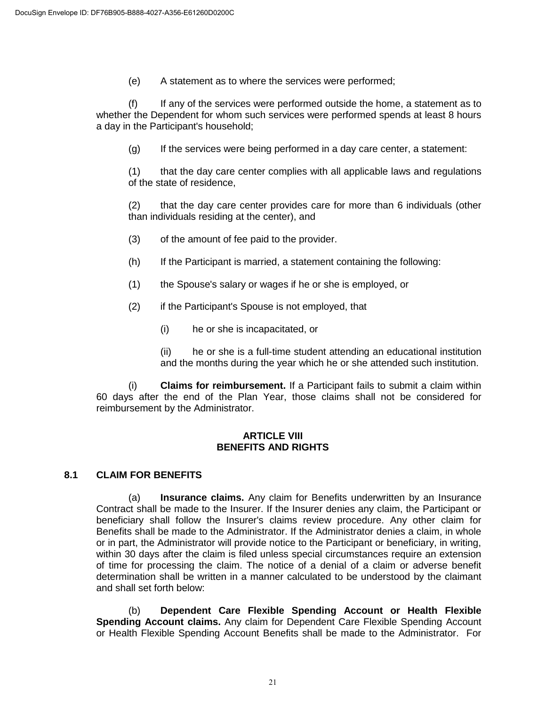(e) A statement as to where the services were performed;

(f) If any of the services were performed outside the home, a statement as to whether the Dependent for whom such services were performed spends at least 8 hours a day in the Participant's household;

(g) If the services were being performed in a day care center, a statement:

(1) that the day care center complies with all applicable laws and regulations of the state of residence,

(2) that the day care center provides care for more than 6 individuals (other than individuals residing at the center), and

- (3) of the amount of fee paid to the provider.
- (h) If the Participant is married, a statement containing the following:
- (1) the Spouse's salary or wages if he or she is employed, or
- (2) if the Participant's Spouse is not employed, that
	- (i) he or she is incapacitated, or

(ii) he or she is a full-time student attending an educational institution and the months during the year which he or she attended such institution.

(i) **Claims for reimbursement.** If a Participant fails to submit a claim within 60 days after the end of the Plan Year, those claims shall not be considered for reimbursement by the Administrator.

#### **ARTICLE VIII BENEFITS AND RIGHTS**

## **8.1 CLAIM FOR BENEFITS**

(a) **Insurance claims.** Any claim for Benefits underwritten by an Insurance Contract shall be made to the Insurer. If the Insurer denies any claim, the Participant or beneficiary shall follow the Insurer's claims review procedure. Any other claim for Benefits shall be made to the Administrator. If the Administrator denies a claim, in whole or in part, the Administrator will provide notice to the Participant or beneficiary, in writing, within 30 days after the claim is filed unless special circumstances require an extension of time for processing the claim. The notice of a denial of a claim or adverse benefit determination shall be written in a manner calculated to be understood by the claimant and shall set forth below:

(b) **Dependent Care Flexible Spending Account or Health Flexible Spending Account claims.** Any claim for Dependent Care Flexible Spending Account or Health Flexible Spending Account Benefits shall be made to the Administrator. For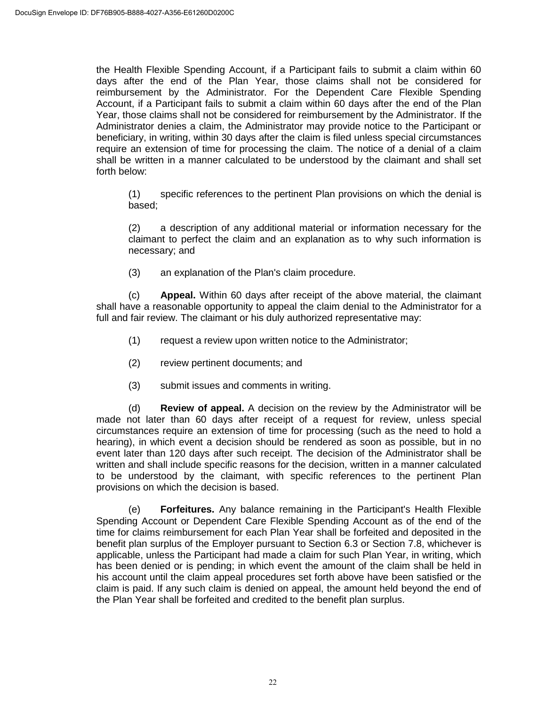the Health Flexible Spending Account, if a Participant fails to submit a claim within 60 days after the end of the Plan Year, those claims shall not be considered for reimbursement by the Administrator. For the Dependent Care Flexible Spending Account, if a Participant fails to submit a claim within 60 days after the end of the Plan Year, those claims shall not be considered for reimbursement by the Administrator. If the Administrator denies a claim, the Administrator may provide notice to the Participant or beneficiary, in writing, within 30 days after the claim is filed unless special circumstances require an extension of time for processing the claim. The notice of a denial of a claim shall be written in a manner calculated to be understood by the claimant and shall set forth below:

(1) specific references to the pertinent Plan provisions on which the denial is based;

(2) a description of any additional material or information necessary for the claimant to perfect the claim and an explanation as to why such information is necessary; and

(3) an explanation of the Plan's claim procedure.

(c) **Appeal.** Within 60 days after receipt of the above material, the claimant shall have a reasonable opportunity to appeal the claim denial to the Administrator for a full and fair review. The claimant or his duly authorized representative may:

- (1) request a review upon written notice to the Administrator;
- (2) review pertinent documents; and
- (3) submit issues and comments in writing.

(d) **Review of appeal.** A decision on the review by the Administrator will be made not later than 60 days after receipt of a request for review, unless special circumstances require an extension of time for processing (such as the need to hold a hearing), in which event a decision should be rendered as soon as possible, but in no event later than 120 days after such receipt. The decision of the Administrator shall be written and shall include specific reasons for the decision, written in a manner calculated to be understood by the claimant, with specific references to the pertinent Plan provisions on which the decision is based.

(e) **Forfeitures.** Any balance remaining in the Participant's Health Flexible Spending Account or Dependent Care Flexible Spending Account as of the end of the time for claims reimbursement for each Plan Year shall be forfeited and deposited in the benefit plan surplus of the Employer pursuant to Section 6.3 or Section 7.8, whichever is applicable, unless the Participant had made a claim for such Plan Year, in writing, which has been denied or is pending; in which event the amount of the claim shall be held in his account until the claim appeal procedures set forth above have been satisfied or the claim is paid. If any such claim is denied on appeal, the amount held beyond the end of the Plan Year shall be forfeited and credited to the benefit plan surplus.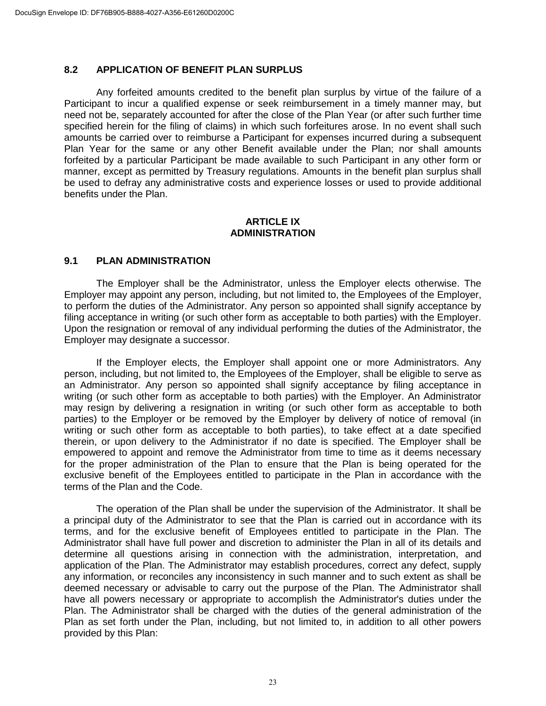# **8.2 APPLICATION OF BENEFIT PLAN SURPLUS**

Any forfeited amounts credited to the benefit plan surplus by virtue of the failure of a Participant to incur a qualified expense or seek reimbursement in a timely manner may, but need not be, separately accounted for after the close of the Plan Year (or after such further time specified herein for the filing of claims) in which such forfeitures arose. In no event shall such amounts be carried over to reimburse a Participant for expenses incurred during a subsequent Plan Year for the same or any other Benefit available under the Plan; nor shall amounts forfeited by a particular Participant be made available to such Participant in any other form or manner, except as permitted by Treasury regulations. Amounts in the benefit plan surplus shall be used to defray any administrative costs and experience losses or used to provide additional benefits under the Plan.

#### **ARTICLE IX ADMINISTRATION**

#### **9.1 PLAN ADMINISTRATION**

The Employer shall be the Administrator, unless the Employer elects otherwise. The Employer may appoint any person, including, but not limited to, the Employees of the Employer, to perform the duties of the Administrator. Any person so appointed shall signify acceptance by filing acceptance in writing (or such other form as acceptable to both parties) with the Employer. Upon the resignation or removal of any individual performing the duties of the Administrator, the Employer may designate a successor.

If the Employer elects, the Employer shall appoint one or more Administrators. Any person, including, but not limited to, the Employees of the Employer, shall be eligible to serve as an Administrator. Any person so appointed shall signify acceptance by filing acceptance in writing (or such other form as acceptable to both parties) with the Employer. An Administrator may resign by delivering a resignation in writing (or such other form as acceptable to both parties) to the Employer or be removed by the Employer by delivery of notice of removal (in writing or such other form as acceptable to both parties), to take effect at a date specified therein, or upon delivery to the Administrator if no date is specified. The Employer shall be empowered to appoint and remove the Administrator from time to time as it deems necessary for the proper administration of the Plan to ensure that the Plan is being operated for the exclusive benefit of the Employees entitled to participate in the Plan in accordance with the terms of the Plan and the Code.

The operation of the Plan shall be under the supervision of the Administrator. It shall be a principal duty of the Administrator to see that the Plan is carried out in accordance with its terms, and for the exclusive benefit of Employees entitled to participate in the Plan. The Administrator shall have full power and discretion to administer the Plan in all of its details and determine all questions arising in connection with the administration, interpretation, and application of the Plan. The Administrator may establish procedures, correct any defect, supply any information, or reconciles any inconsistency in such manner and to such extent as shall be deemed necessary or advisable to carry out the purpose of the Plan. The Administrator shall have all powers necessary or appropriate to accomplish the Administrator's duties under the Plan. The Administrator shall be charged with the duties of the general administration of the Plan as set forth under the Plan, including, but not limited to, in addition to all other powers provided by this Plan: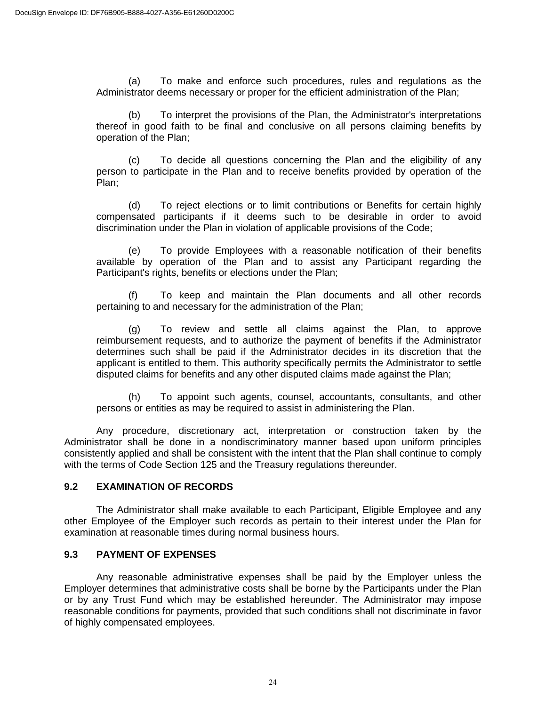(a) To make and enforce such procedures, rules and regulations as the Administrator deems necessary or proper for the efficient administration of the Plan;

(b) To interpret the provisions of the Plan, the Administrator's interpretations thereof in good faith to be final and conclusive on all persons claiming benefits by operation of the Plan;

(c) To decide all questions concerning the Plan and the eligibility of any person to participate in the Plan and to receive benefits provided by operation of the Plan;

(d) To reject elections or to limit contributions or Benefits for certain highly compensated participants if it deems such to be desirable in order to avoid discrimination under the Plan in violation of applicable provisions of the Code;

(e) To provide Employees with a reasonable notification of their benefits available by operation of the Plan and to assist any Participant regarding the Participant's rights, benefits or elections under the Plan;

(f) To keep and maintain the Plan documents and all other records pertaining to and necessary for the administration of the Plan;

(g) To review and settle all claims against the Plan, to approve reimbursement requests, and to authorize the payment of benefits if the Administrator determines such shall be paid if the Administrator decides in its discretion that the applicant is entitled to them. This authority specifically permits the Administrator to settle disputed claims for benefits and any other disputed claims made against the Plan;

(h) To appoint such agents, counsel, accountants, consultants, and other persons or entities as may be required to assist in administering the Plan.

Any procedure, discretionary act, interpretation or construction taken by the Administrator shall be done in a nondiscriminatory manner based upon uniform principles consistently applied and shall be consistent with the intent that the Plan shall continue to comply with the terms of Code Section 125 and the Treasury regulations thereunder.

## **9.2 EXAMINATION OF RECORDS**

The Administrator shall make available to each Participant, Eligible Employee and any other Employee of the Employer such records as pertain to their interest under the Plan for examination at reasonable times during normal business hours.

#### **9.3 PAYMENT OF EXPENSES**

Any reasonable administrative expenses shall be paid by the Employer unless the Employer determines that administrative costs shall be borne by the Participants under the Plan or by any Trust Fund which may be established hereunder. The Administrator may impose reasonable conditions for payments, provided that such conditions shall not discriminate in favor of highly compensated employees.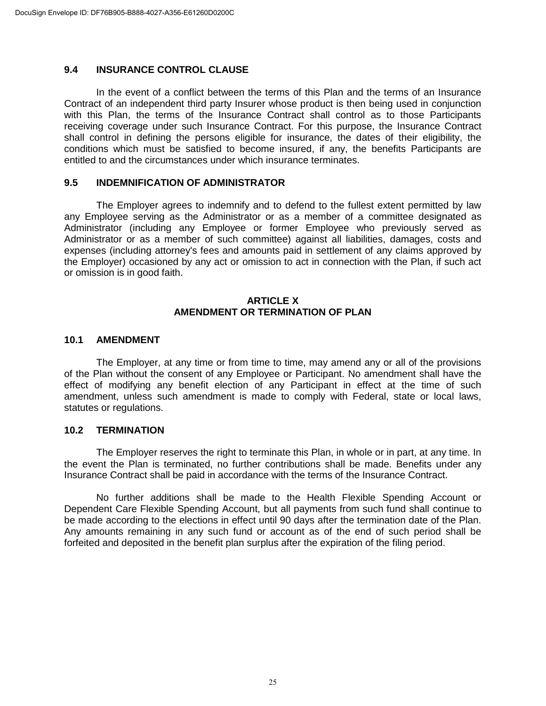#### **9.4 INSURANCE CONTROL CLAUSE**

In the event of a conflict between the terms of this Plan and the terms of an Insurance Contract of an independent third party Insurer whose product is then being used in conjunction with this Plan, the terms of the Insurance Contract shall control as to those Participants receiving coverage under such Insurance Contract. For this purpose, the Insurance Contract shall control in defining the persons eligible for insurance, the dates of their eligibility, the conditions which must be satisfied to become insured, if any, the benefits Participants are entitled to and the circumstances under which insurance terminates.

#### **9.5 INDEMNIFICATION OF ADMINISTRATOR**

The Employer agrees to indemnify and to defend to the fullest extent permitted by law any Employee serving as the Administrator or as a member of a committee designated as Administrator (including any Employee or former Employee who previously served as Administrator or as a member of such committee) against all liabilities, damages, costs and expenses (including attorney's fees and amounts paid in settlement of any claims approved by the Employer) occasioned by any act or omission to act in connection with the Plan, if such act or omission is in good faith.

#### **ARTICLE X AMENDMENT OR TERMINATION OF PLAN**

#### **10.1 AMENDMENT**

The Employer, at any time or from time to time, may amend any or all of the provisions of the Plan without the consent of any Employee or Participant. No amendment shall have the effect of modifying any benefit election of any Participant in effect at the time of such amendment, unless such amendment is made to comply with Federal, state or local laws, statutes or regulations.

#### **10.2 TERMINATION**

The Employer reserves the right to terminate this Plan, in whole or in part, at any time. In the event the Plan is terminated, no further contributions shall be made. Benefits under any Insurance Contract shall be paid in accordance with the terms of the Insurance Contract.

No further additions shall be made to the Health Flexible Spending Account or Dependent Care Flexible Spending Account, but all payments from such fund shall continue to be made according to the elections in effect until 90 days after the termination date of the Plan. Any amounts remaining in any such fund or account as of the end of such period shall be forfeited and deposited in the benefit plan surplus after the expiration of the filing period.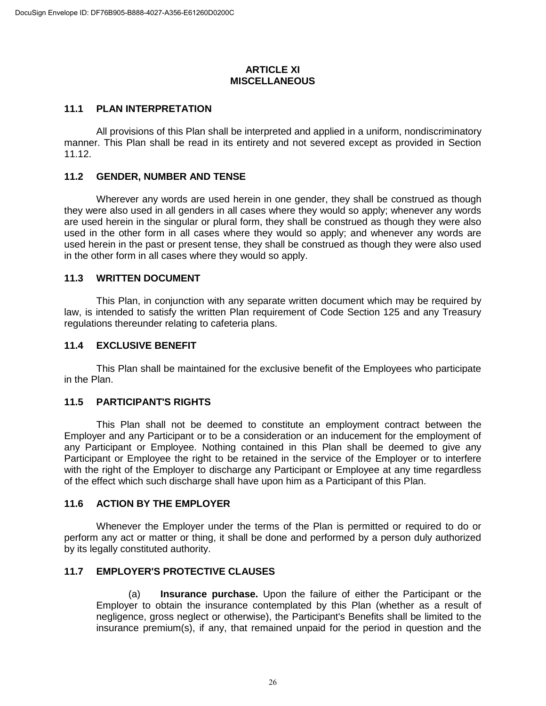#### **ARTICLE XI MISCELLANEOUS**

#### **11.1 PLAN INTERPRETATION**

All provisions of this Plan shall be interpreted and applied in a uniform, nondiscriminatory manner. This Plan shall be read in its entirety and not severed except as provided in Section 11.12.

#### **11.2 GENDER, NUMBER AND TENSE**

Wherever any words are used herein in one gender, they shall be construed as though they were also used in all genders in all cases where they would so apply; whenever any words are used herein in the singular or plural form, they shall be construed as though they were also used in the other form in all cases where they would so apply; and whenever any words are used herein in the past or present tense, they shall be construed as though they were also used in the other form in all cases where they would so apply.

#### **11.3 WRITTEN DOCUMENT**

This Plan, in conjunction with any separate written document which may be required by law, is intended to satisfy the written Plan requirement of Code Section 125 and any Treasury regulations thereunder relating to cafeteria plans.

## **11.4 EXCLUSIVE BENEFIT**

This Plan shall be maintained for the exclusive benefit of the Employees who participate in the Plan.

## **11.5 PARTICIPANT'S RIGHTS**

This Plan shall not be deemed to constitute an employment contract between the Employer and any Participant or to be a consideration or an inducement for the employment of any Participant or Employee. Nothing contained in this Plan shall be deemed to give any Participant or Employee the right to be retained in the service of the Employer or to interfere with the right of the Employer to discharge any Participant or Employee at any time regardless of the effect which such discharge shall have upon him as a Participant of this Plan.

#### **11.6 ACTION BY THE EMPLOYER**

Whenever the Employer under the terms of the Plan is permitted or required to do or perform any act or matter or thing, it shall be done and performed by a person duly authorized by its legally constituted authority.

## **11.7 EMPLOYER'S PROTECTIVE CLAUSES**

(a) **Insurance purchase.** Upon the failure of either the Participant or the Employer to obtain the insurance contemplated by this Plan (whether as a result of negligence, gross neglect or otherwise), the Participant's Benefits shall be limited to the insurance premium(s), if any, that remained unpaid for the period in question and the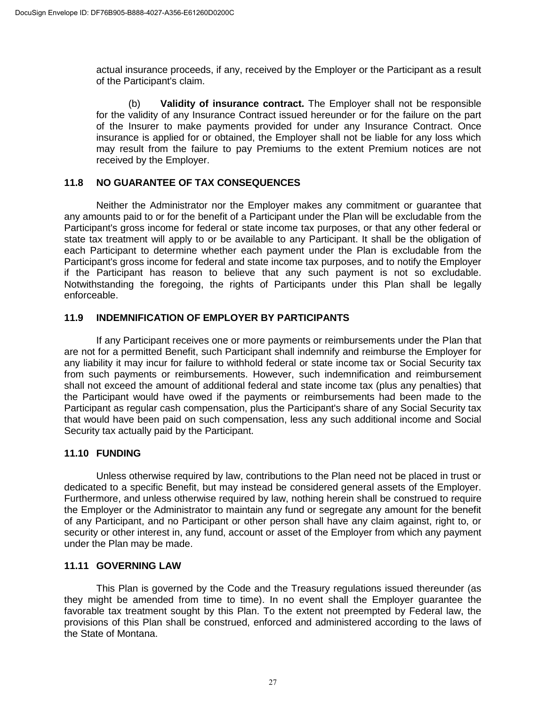actual insurance proceeds, if any, received by the Employer or the Participant as a result of the Participant's claim.

(b) **Validity of insurance contract.** The Employer shall not be responsible for the validity of any Insurance Contract issued hereunder or for the failure on the part of the Insurer to make payments provided for under any Insurance Contract. Once insurance is applied for or obtained, the Employer shall not be liable for any loss which may result from the failure to pay Premiums to the extent Premium notices are not received by the Employer.

#### **11.8 NO GUARANTEE OF TAX CONSEQUENCES**

Neither the Administrator nor the Employer makes any commitment or guarantee that any amounts paid to or for the benefit of a Participant under the Plan will be excludable from the Participant's gross income for federal or state income tax purposes, or that any other federal or state tax treatment will apply to or be available to any Participant. It shall be the obligation of each Participant to determine whether each payment under the Plan is excludable from the Participant's gross income for federal and state income tax purposes, and to notify the Employer if the Participant has reason to believe that any such payment is not so excludable. Notwithstanding the foregoing, the rights of Participants under this Plan shall be legally enforceable.

## **11.9 INDEMNIFICATION OF EMPLOYER BY PARTICIPANTS**

If any Participant receives one or more payments or reimbursements under the Plan that are not for a permitted Benefit, such Participant shall indemnify and reimburse the Employer for any liability it may incur for failure to withhold federal or state income tax or Social Security tax from such payments or reimbursements. However, such indemnification and reimbursement shall not exceed the amount of additional federal and state income tax (plus any penalties) that the Participant would have owed if the payments or reimbursements had been made to the Participant as regular cash compensation, plus the Participant's share of any Social Security tax that would have been paid on such compensation, less any such additional income and Social Security tax actually paid by the Participant.

#### **11.10 FUNDING**

Unless otherwise required by law, contributions to the Plan need not be placed in trust or dedicated to a specific Benefit, but may instead be considered general assets of the Employer. Furthermore, and unless otherwise required by law, nothing herein shall be construed to require the Employer or the Administrator to maintain any fund or segregate any amount for the benefit of any Participant, and no Participant or other person shall have any claim against, right to, or security or other interest in, any fund, account or asset of the Employer from which any payment under the Plan may be made.

#### **11.11 GOVERNING LAW**

This Plan is governed by the Code and the Treasury regulations issued thereunder (as they might be amended from time to time). In no event shall the Employer guarantee the favorable tax treatment sought by this Plan. To the extent not preempted by Federal law, the provisions of this Plan shall be construed, enforced and administered according to the laws of the State of Montana.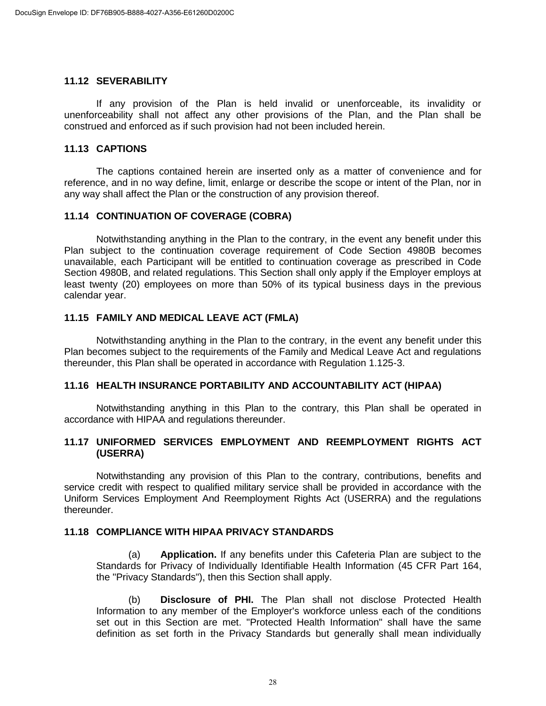#### **11.12 SEVERABILITY**

If any provision of the Plan is held invalid or unenforceable, its invalidity or unenforceability shall not affect any other provisions of the Plan, and the Plan shall be construed and enforced as if such provision had not been included herein.

#### **11.13 CAPTIONS**

The captions contained herein are inserted only as a matter of convenience and for reference, and in no way define, limit, enlarge or describe the scope or intent of the Plan, nor in any way shall affect the Plan or the construction of any provision thereof.

## **11.14 CONTINUATION OF COVERAGE (COBRA)**

Notwithstanding anything in the Plan to the contrary, in the event any benefit under this Plan subject to the continuation coverage requirement of Code Section 4980B becomes unavailable, each Participant will be entitled to continuation coverage as prescribed in Code Section 4980B, and related regulations. This Section shall only apply if the Employer employs at least twenty (20) employees on more than 50% of its typical business days in the previous calendar year.

#### **11.15 FAMILY AND MEDICAL LEAVE ACT (FMLA)**

Notwithstanding anything in the Plan to the contrary, in the event any benefit under this Plan becomes subject to the requirements of the Family and Medical Leave Act and regulations thereunder, this Plan shall be operated in accordance with Regulation 1.125-3.

#### **11.16 HEALTH INSURANCE PORTABILITY AND ACCOUNTABILITY ACT (HIPAA)**

Notwithstanding anything in this Plan to the contrary, this Plan shall be operated in accordance with HIPAA and regulations thereunder.

## **11.17 UNIFORMED SERVICES EMPLOYMENT AND REEMPLOYMENT RIGHTS ACT (USERRA)**

Notwithstanding any provision of this Plan to the contrary, contributions, benefits and service credit with respect to qualified military service shall be provided in accordance with the Uniform Services Employment And Reemployment Rights Act (USERRA) and the regulations thereunder.

#### **11.18 COMPLIANCE WITH HIPAA PRIVACY STANDARDS**

(a) **Application.** If any benefits under this Cafeteria Plan are subject to the Standards for Privacy of Individually Identifiable Health Information (45 CFR Part 164, the "Privacy Standards"), then this Section shall apply.

(b) **Disclosure of PHI.** The Plan shall not disclose Protected Health Information to any member of the Employer's workforce unless each of the conditions set out in this Section are met. "Protected Health Information" shall have the same definition as set forth in the Privacy Standards but generally shall mean individually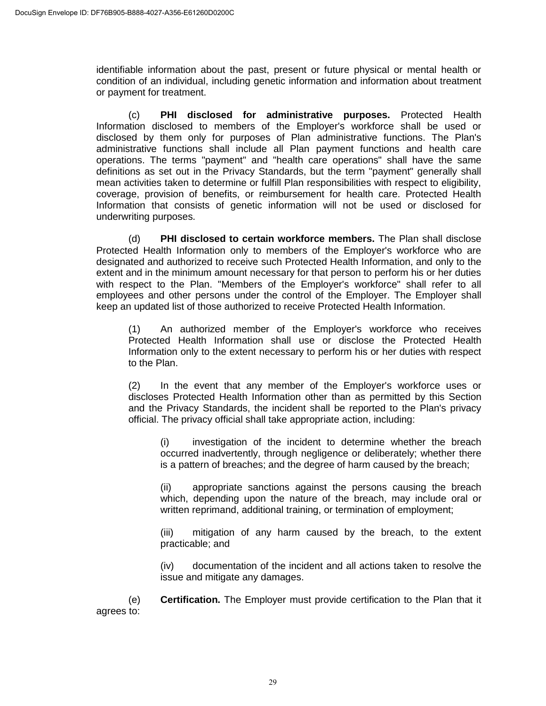identifiable information about the past, present or future physical or mental health or condition of an individual, including genetic information and information about treatment or payment for treatment.

(c) **PHI disclosed for administrative purposes.** Protected Health Information disclosed to members of the Employer's workforce shall be used or disclosed by them only for purposes of Plan administrative functions. The Plan's administrative functions shall include all Plan payment functions and health care operations. The terms "payment" and "health care operations" shall have the same definitions as set out in the Privacy Standards, but the term "payment" generally shall mean activities taken to determine or fulfill Plan responsibilities with respect to eligibility, coverage, provision of benefits, or reimbursement for health care. Protected Health Information that consists of genetic information will not be used or disclosed for underwriting purposes.

(d) **PHI disclosed to certain workforce members.** The Plan shall disclose Protected Health Information only to members of the Employer's workforce who are designated and authorized to receive such Protected Health Information, and only to the extent and in the minimum amount necessary for that person to perform his or her duties with respect to the Plan. "Members of the Employer's workforce" shall refer to all employees and other persons under the control of the Employer. The Employer shall keep an updated list of those authorized to receive Protected Health Information.

(1) An authorized member of the Employer's workforce who receives Protected Health Information shall use or disclose the Protected Health Information only to the extent necessary to perform his or her duties with respect to the Plan.

(2) In the event that any member of the Employer's workforce uses or discloses Protected Health Information other than as permitted by this Section and the Privacy Standards, the incident shall be reported to the Plan's privacy official. The privacy official shall take appropriate action, including:

(i) investigation of the incident to determine whether the breach occurred inadvertently, through negligence or deliberately; whether there is a pattern of breaches; and the degree of harm caused by the breach;

(ii) appropriate sanctions against the persons causing the breach which, depending upon the nature of the breach, may include oral or written reprimand, additional training, or termination of employment;

(iii) mitigation of any harm caused by the breach, to the extent practicable; and

(iv) documentation of the incident and all actions taken to resolve the issue and mitigate any damages.

(e) **Certification.** The Employer must provide certification to the Plan that it agrees to: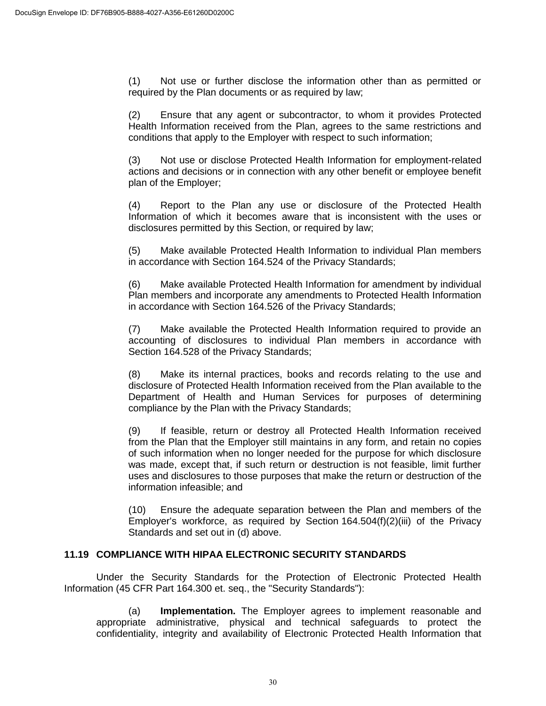(1) Not use or further disclose the information other than as permitted or required by the Plan documents or as required by law;

(2) Ensure that any agent or subcontractor, to whom it provides Protected Health Information received from the Plan, agrees to the same restrictions and conditions that apply to the Employer with respect to such information;

(3) Not use or disclose Protected Health Information for employment-related actions and decisions or in connection with any other benefit or employee benefit plan of the Employer;

(4) Report to the Plan any use or disclosure of the Protected Health Information of which it becomes aware that is inconsistent with the uses or disclosures permitted by this Section, or required by law;

(5) Make available Protected Health Information to individual Plan members in accordance with Section 164.524 of the Privacy Standards;

(6) Make available Protected Health Information for amendment by individual Plan members and incorporate any amendments to Protected Health Information in accordance with Section 164.526 of the Privacy Standards;

(7) Make available the Protected Health Information required to provide an accounting of disclosures to individual Plan members in accordance with Section 164.528 of the Privacy Standards;

(8) Make its internal practices, books and records relating to the use and disclosure of Protected Health Information received from the Plan available to the Department of Health and Human Services for purposes of determining compliance by the Plan with the Privacy Standards;

(9) If feasible, return or destroy all Protected Health Information received from the Plan that the Employer still maintains in any form, and retain no copies of such information when no longer needed for the purpose for which disclosure was made, except that, if such return or destruction is not feasible, limit further uses and disclosures to those purposes that make the return or destruction of the information infeasible; and

(10) Ensure the adequate separation between the Plan and members of the Employer's workforce, as required by Section 164.504(f)(2)(iii) of the Privacy Standards and set out in (d) above.

## **11.19 COMPLIANCE WITH HIPAA ELECTRONIC SECURITY STANDARDS**

Under the Security Standards for the Protection of Electronic Protected Health Information (45 CFR Part 164.300 et. seq., the "Security Standards"):

(a) **Implementation.** The Employer agrees to implement reasonable and appropriate administrative, physical and technical safeguards to protect the confidentiality, integrity and availability of Electronic Protected Health Information that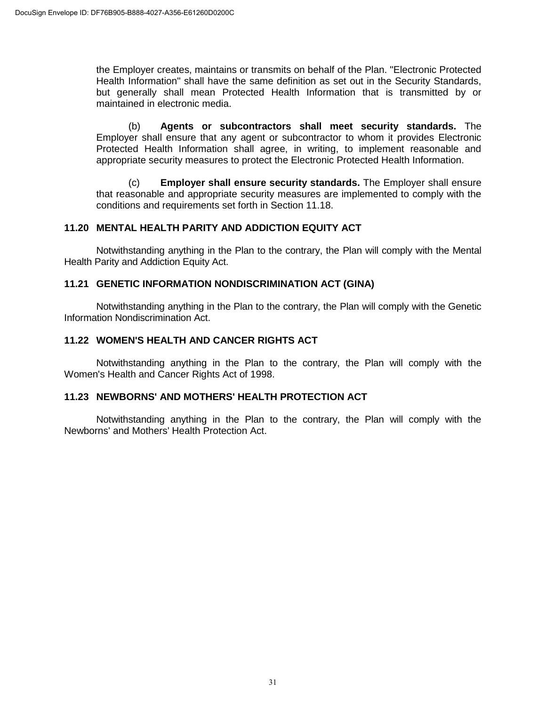the Employer creates, maintains or transmits on behalf of the Plan. "Electronic Protected Health Information" shall have the same definition as set out in the Security Standards, but generally shall mean Protected Health Information that is transmitted by or maintained in electronic media.

(b) **Agents or subcontractors shall meet security standards.** The Employer shall ensure that any agent or subcontractor to whom it provides Electronic Protected Health Information shall agree, in writing, to implement reasonable and appropriate security measures to protect the Electronic Protected Health Information.

(c) **Employer shall ensure security standards.** The Employer shall ensure that reasonable and appropriate security measures are implemented to comply with the conditions and requirements set forth in Section 11.18.

## **11.20 MENTAL HEALTH PARITY AND ADDICTION EQUITY ACT**

Notwithstanding anything in the Plan to the contrary, the Plan will comply with the Mental Health Parity and Addiction Equity Act.

## **11.21 GENETIC INFORMATION NONDISCRIMINATION ACT (GINA)**

Notwithstanding anything in the Plan to the contrary, the Plan will comply with the Genetic Information Nondiscrimination Act.

# **11.22 WOMEN'S HEALTH AND CANCER RIGHTS ACT**

Notwithstanding anything in the Plan to the contrary, the Plan will comply with the Women's Health and Cancer Rights Act of 1998.

## **11.23 NEWBORNS' AND MOTHERS' HEALTH PROTECTION ACT**

Notwithstanding anything in the Plan to the contrary, the Plan will comply with the Newborns' and Mothers' Health Protection Act.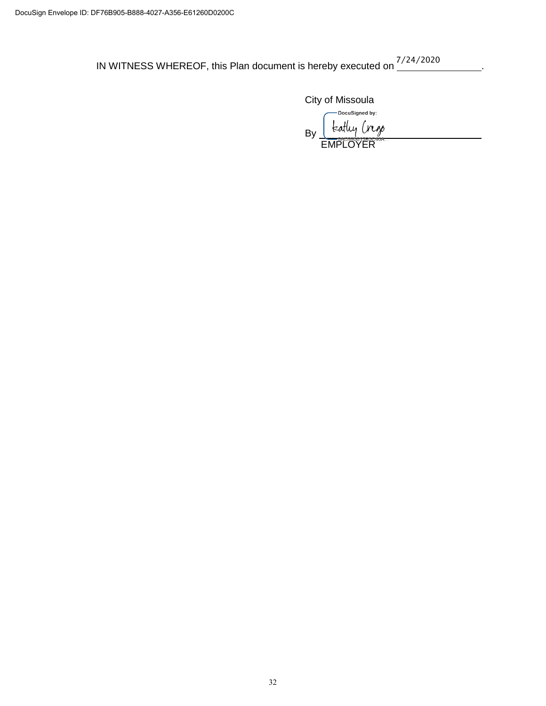IN WITNESS WHEREOF, this Plan document is hereby executed on  $\frac{7/24/2020}{2}$ .

City of Missoula

-DocuSigned by: teatly Cress By

**EMPLOYER**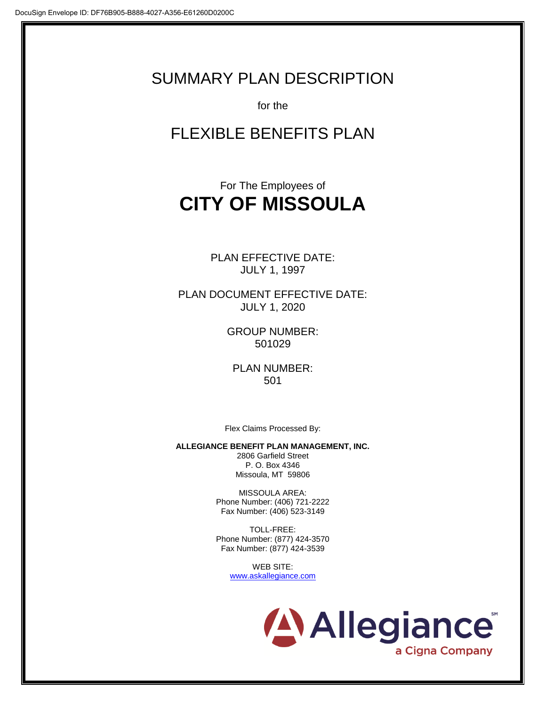# SUMMARY PLAN DESCRIPTION

for the

# FLEXIBLE BENEFITS PLAN

# For The Employees of **CITY OF MISSOULA**

PLAN EFFECTIVE DATE: JULY 1, 1997

PLAN DOCUMENT EFFECTIVE DATE: JULY 1, 2020

> GROUP NUMBER: 501029

PLAN NUMBER: 501

Flex Claims Processed By:

**ALLEGIANCE BENEFIT PLAN MANAGEMENT, INC.**

2806 Garfield Street P. O. Box 4346 Missoula, MT 59806

MISSOULA AREA: Phone Number: (406) 721-2222 Fax Number: (406) 523-3149

TOLL-FREE: Phone Number: (877) 424-3570 Fax Number: (877) 424-3539

> WEB SITE: www.askallegiance.com

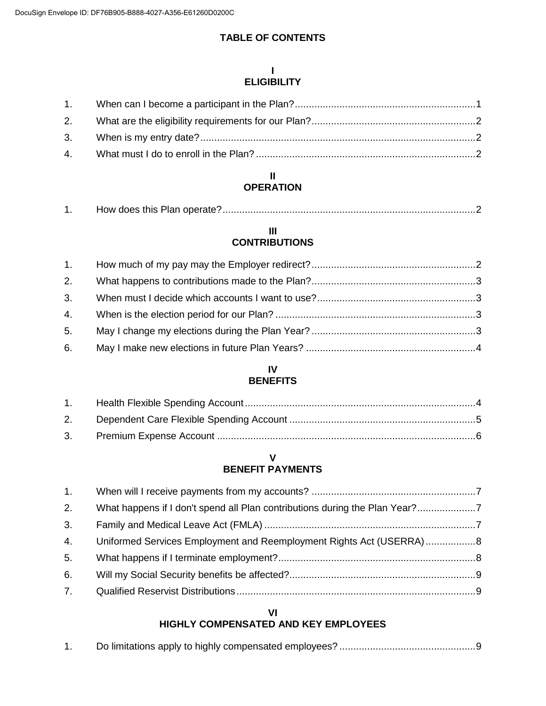# **TABLE OF CONTENTS**

#### **I ELIGIBILITY**

#### **II OPERATION**

|--|--|--|

#### **III CONTRIBUTIONS**

| 5. |  |
|----|--|
| 6. |  |

## **IV BENEFITS**

| 2. |  |
|----|--|
|    |  |

## **V BENEFIT PAYMENTS**

| What happens if I don't spend all Plan contributions during the Plan Year?<br>Uniformed Services Employment and Reemployment Rights Act (USERRA)8 |
|---------------------------------------------------------------------------------------------------------------------------------------------------|

# **VI**

# **HIGHLY COMPENSATED AND KEY EMPLOYEES**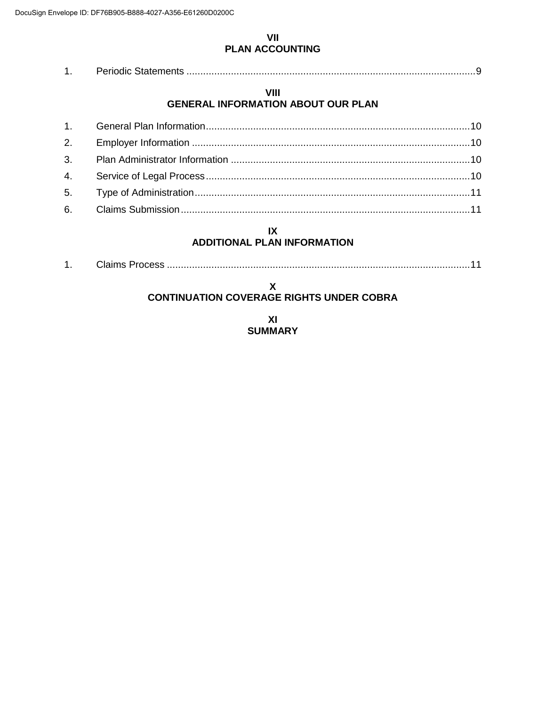#### **VII PLAN ACCOUNTING**

|--|--|

## **VIII GENERAL INFORMATION ABOUT OUR PLAN**

# **IX**

# **ADDITIONAL PLAN INFORMATION**

| ., |  |  |  |
|----|--|--|--|
|----|--|--|--|

#### **X CONTINUATION COVERAGE RIGHTS UNDER COBRA**

**XI SUMMARY**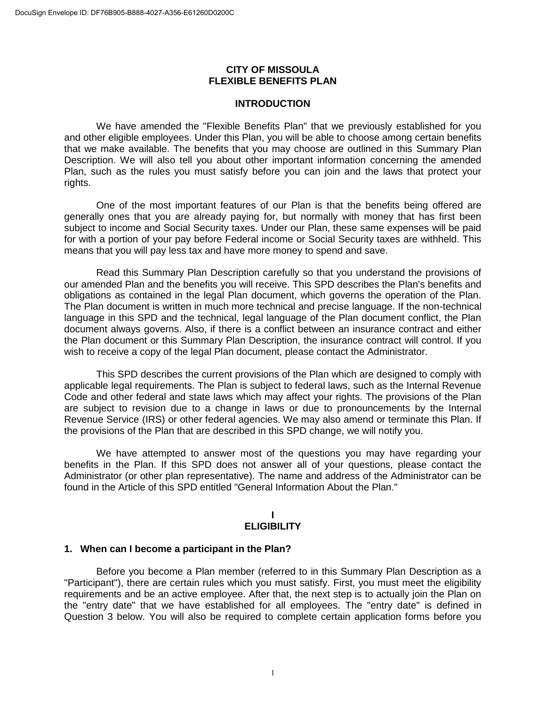#### **CITY OF MISSOULA FLEXIBLE BENEFITS PLAN**

#### **INTRODUCTION**

We have amended the "Flexible Benefits Plan" that we previously established for you and other eligible employees. Under this Plan, you will be able to choose among certain benefits that we make available. The benefits that you may choose are outlined in this Summary Plan Description. We will also tell you about other important information concerning the amended Plan, such as the rules you must satisfy before you can join and the laws that protect your rights.

One of the most important features of our Plan is that the benefits being offered are generally ones that you are already paying for, but normally with money that has first been subject to income and Social Security taxes. Under our Plan, these same expenses will be paid for with a portion of your pay before Federal income or Social Security taxes are withheld. This means that you will pay less tax and have more money to spend and save.

Read this Summary Plan Description carefully so that you understand the provisions of our amended Plan and the benefits you will receive. This SPD describes the Plan's benefits and obligations as contained in the legal Plan document, which governs the operation of the Plan. The Plan document is written in much more technical and precise language. If the non-technical language in this SPD and the technical, legal language of the Plan document conflict, the Plan document always governs. Also, if there is a conflict between an insurance contract and either the Plan document or this Summary Plan Description, the insurance contract will control. If you wish to receive a copy of the legal Plan document, please contact the Administrator.

This SPD describes the current provisions of the Plan which are designed to comply with applicable legal requirements. The Plan is subject to federal laws, such as the Internal Revenue Code and other federal and state laws which may affect your rights. The provisions of the Plan are subject to revision due to a change in laws or due to pronouncements by the Internal Revenue Service (IRS) or other federal agencies. We may also amend or terminate this Plan. If the provisions of the Plan that are described in this SPD change, we will notify you.

We have attempted to answer most of the questions you may have regarding your benefits in the Plan. If this SPD does not answer all of your questions, please contact the Administrator (or other plan representative). The name and address of the Administrator can be found in the Article of this SPD entitled "General Information About the Plan."

#### **I ELIGIBILITY**

#### **1. When can I become a participant in the Plan?**

Before you become a Plan member (referred to in this Summary Plan Description as a "Participant"), there are certain rules which you must satisfy. First, you must meet the eligibility requirements and be an active employee. After that, the next step is to actually join the Plan on the "entry date" that we have established for all employees. The "entry date" is defined in Question 3 below. You will also be required to complete certain application forms before you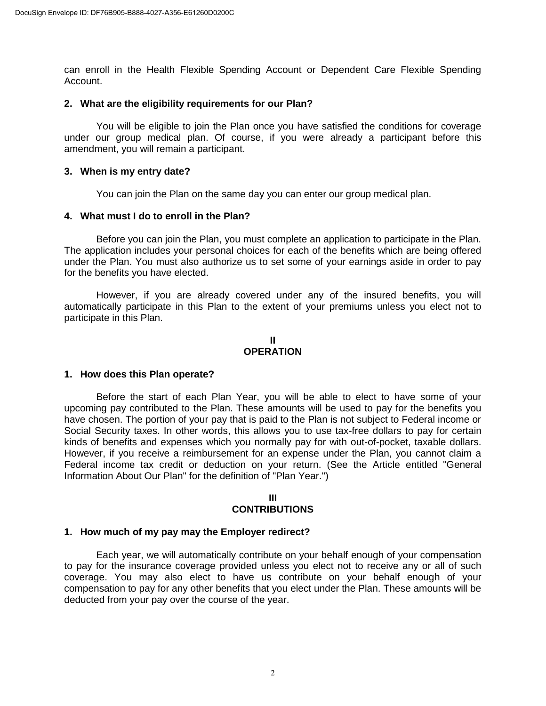can enroll in the Health Flexible Spending Account or Dependent Care Flexible Spending Account.

#### **2. What are the eligibility requirements for our Plan?**

You will be eligible to join the Plan once you have satisfied the conditions for coverage under our group medical plan. Of course, if you were already a participant before this amendment, you will remain a participant.

#### **3. When is my entry date?**

You can join the Plan on the same day you can enter our group medical plan.

#### **4. What must I do to enroll in the Plan?**

Before you can join the Plan, you must complete an application to participate in the Plan. The application includes your personal choices for each of the benefits which are being offered under the Plan. You must also authorize us to set some of your earnings aside in order to pay for the benefits you have elected.

However, if you are already covered under any of the insured benefits, you will automatically participate in this Plan to the extent of your premiums unless you elect not to participate in this Plan.

#### **II OPERATION**

#### **1. How does this Plan operate?**

Before the start of each Plan Year, you will be able to elect to have some of your upcoming pay contributed to the Plan. These amounts will be used to pay for the benefits you have chosen. The portion of your pay that is paid to the Plan is not subject to Federal income or Social Security taxes. In other words, this allows you to use tax-free dollars to pay for certain kinds of benefits and expenses which you normally pay for with out-of-pocket, taxable dollars. However, if you receive a reimbursement for an expense under the Plan, you cannot claim a Federal income tax credit or deduction on your return. (See the Article entitled "General Information About Our Plan" for the definition of "Plan Year.")

#### **III**

#### **CONTRIBUTIONS**

#### **1. How much of my pay may the Employer redirect?**

Each year, we will automatically contribute on your behalf enough of your compensation to pay for the insurance coverage provided unless you elect not to receive any or all of such coverage. You may also elect to have us contribute on your behalf enough of your compensation to pay for any other benefits that you elect under the Plan. These amounts will be deducted from your pay over the course of the year.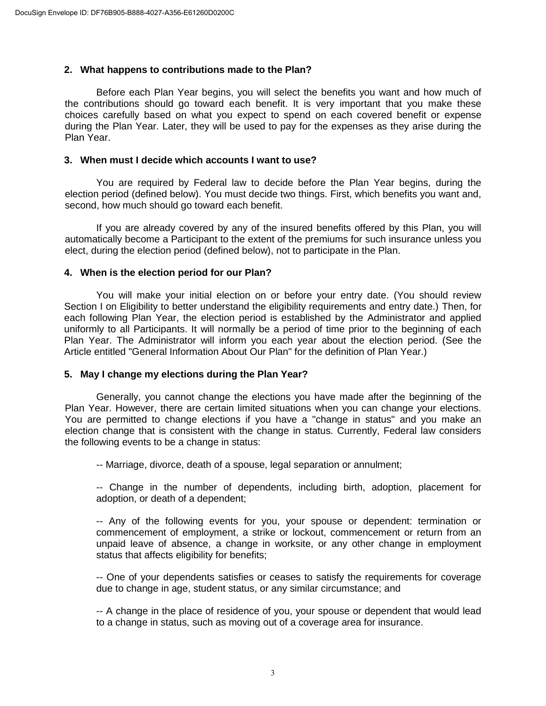#### **2. What happens to contributions made to the Plan?**

Before each Plan Year begins, you will select the benefits you want and how much of the contributions should go toward each benefit. It is very important that you make these choices carefully based on what you expect to spend on each covered benefit or expense during the Plan Year. Later, they will be used to pay for the expenses as they arise during the Plan Year.

#### **3. When must I decide which accounts I want to use?**

You are required by Federal law to decide before the Plan Year begins, during the election period (defined below). You must decide two things. First, which benefits you want and, second, how much should go toward each benefit.

If you are already covered by any of the insured benefits offered by this Plan, you will automatically become a Participant to the extent of the premiums for such insurance unless you elect, during the election period (defined below), not to participate in the Plan.

#### **4. When is the election period for our Plan?**

You will make your initial election on or before your entry date. (You should review Section I on Eligibility to better understand the eligibility requirements and entry date.) Then, for each following Plan Year, the election period is established by the Administrator and applied uniformly to all Participants. It will normally be a period of time prior to the beginning of each Plan Year. The Administrator will inform you each year about the election period. (See the Article entitled "General Information About Our Plan" for the definition of Plan Year.)

#### **5. May I change my elections during the Plan Year?**

Generally, you cannot change the elections you have made after the beginning of the Plan Year. However, there are certain limited situations when you can change your elections. You are permitted to change elections if you have a "change in status" and you make an election change that is consistent with the change in status. Currently, Federal law considers the following events to be a change in status:

-- Marriage, divorce, death of a spouse, legal separation or annulment;

-- Change in the number of dependents, including birth, adoption, placement for adoption, or death of a dependent;

-- Any of the following events for you, your spouse or dependent: termination or commencement of employment, a strike or lockout, commencement or return from an unpaid leave of absence, a change in worksite, or any other change in employment status that affects eligibility for benefits;

-- One of your dependents satisfies or ceases to satisfy the requirements for coverage due to change in age, student status, or any similar circumstance; and

-- A change in the place of residence of you, your spouse or dependent that would lead to a change in status, such as moving out of a coverage area for insurance.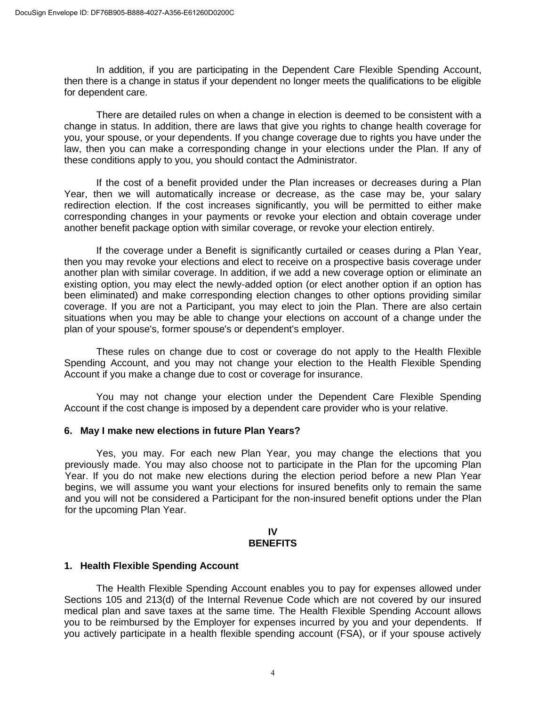In addition, if you are participating in the Dependent Care Flexible Spending Account, then there is a change in status if your dependent no longer meets the qualifications to be eligible for dependent care.

There are detailed rules on when a change in election is deemed to be consistent with a change in status. In addition, there are laws that give you rights to change health coverage for you, your spouse, or your dependents. If you change coverage due to rights you have under the law, then you can make a corresponding change in your elections under the Plan. If any of these conditions apply to you, you should contact the Administrator.

If the cost of a benefit provided under the Plan increases or decreases during a Plan Year, then we will automatically increase or decrease, as the case may be, your salary redirection election. If the cost increases significantly, you will be permitted to either make corresponding changes in your payments or revoke your election and obtain coverage under another benefit package option with similar coverage, or revoke your election entirely.

If the coverage under a Benefit is significantly curtailed or ceases during a Plan Year, then you may revoke your elections and elect to receive on a prospective basis coverage under another plan with similar coverage. In addition, if we add a new coverage option or eliminate an existing option, you may elect the newly-added option (or elect another option if an option has been eliminated) and make corresponding election changes to other options providing similar coverage. If you are not a Participant, you may elect to join the Plan. There are also certain situations when you may be able to change your elections on account of a change under the plan of your spouse's, former spouse's or dependent's employer.

These rules on change due to cost or coverage do not apply to the Health Flexible Spending Account, and you may not change your election to the Health Flexible Spending Account if you make a change due to cost or coverage for insurance.

You may not change your election under the Dependent Care Flexible Spending Account if the cost change is imposed by a dependent care provider who is your relative.

#### **6. May I make new elections in future Plan Years?**

Yes, you may. For each new Plan Year, you may change the elections that you previously made. You may also choose not to participate in the Plan for the upcoming Plan Year. If you do not make new elections during the election period before a new Plan Year begins, we will assume you want your elections for insured benefits only to remain the same and you will not be considered a Participant for the non-insured benefit options under the Plan for the upcoming Plan Year.

#### **IV BENEFITS**

#### **1. Health Flexible Spending Account**

The Health Flexible Spending Account enables you to pay for expenses allowed under Sections 105 and 213(d) of the Internal Revenue Code which are not covered by our insured medical plan and save taxes at the same time. The Health Flexible Spending Account allows you to be reimbursed by the Employer for expenses incurred by you and your dependents. If you actively participate in a health flexible spending account (FSA), or if your spouse actively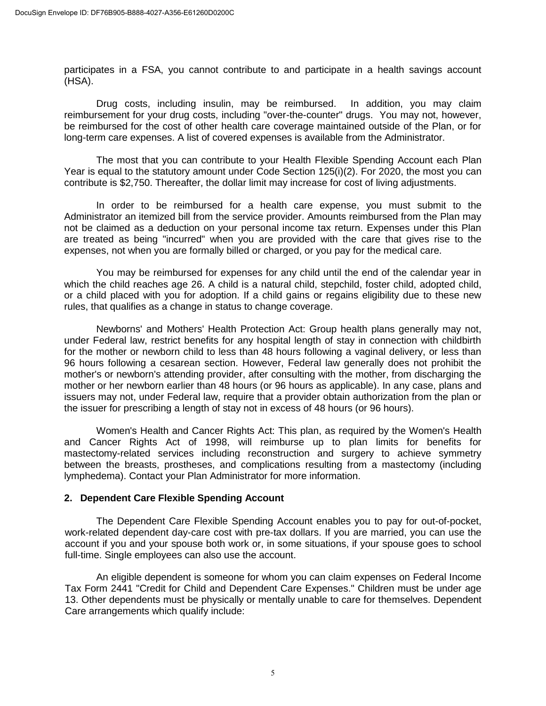participates in a FSA, you cannot contribute to and participate in a health savings account (HSA).

Drug costs, including insulin, may be reimbursed. In addition, you may claim reimbursement for your drug costs, including "over-the-counter" drugs. You may not, however, be reimbursed for the cost of other health care coverage maintained outside of the Plan, or for long-term care expenses. A list of covered expenses is available from the Administrator.

The most that you can contribute to your Health Flexible Spending Account each Plan Year is equal to the statutory amount under Code Section 125(i)(2). For 2020, the most you can contribute is \$2,750. Thereafter, the dollar limit may increase for cost of living adjustments.

In order to be reimbursed for a health care expense, you must submit to the Administrator an itemized bill from the service provider. Amounts reimbursed from the Plan may not be claimed as a deduction on your personal income tax return. Expenses under this Plan are treated as being "incurred" when you are provided with the care that gives rise to the expenses, not when you are formally billed or charged, or you pay for the medical care.

You may be reimbursed for expenses for any child until the end of the calendar year in which the child reaches age 26. A child is a natural child, stepchild, foster child, adopted child, or a child placed with you for adoption. If a child gains or regains eligibility due to these new rules, that qualifies as a change in status to change coverage.

Newborns' and Mothers' Health Protection Act: Group health plans generally may not, under Federal law, restrict benefits for any hospital length of stay in connection with childbirth for the mother or newborn child to less than 48 hours following a vaginal delivery, or less than 96 hours following a cesarean section. However, Federal law generally does not prohibit the mother's or newborn's attending provider, after consulting with the mother, from discharging the mother or her newborn earlier than 48 hours (or 96 hours as applicable). In any case, plans and issuers may not, under Federal law, require that a provider obtain authorization from the plan or the issuer for prescribing a length of stay not in excess of 48 hours (or 96 hours).

Women's Health and Cancer Rights Act: This plan, as required by the Women's Health and Cancer Rights Act of 1998, will reimburse up to plan limits for benefits for mastectomy-related services including reconstruction and surgery to achieve symmetry between the breasts, prostheses, and complications resulting from a mastectomy (including lymphedema). Contact your Plan Administrator for more information.

## **2. Dependent Care Flexible Spending Account**

The Dependent Care Flexible Spending Account enables you to pay for out-of-pocket, work-related dependent day-care cost with pre-tax dollars. If you are married, you can use the account if you and your spouse both work or, in some situations, if your spouse goes to school full-time. Single employees can also use the account.

An eligible dependent is someone for whom you can claim expenses on Federal Income Tax Form 2441 "Credit for Child and Dependent Care Expenses." Children must be under age 13. Other dependents must be physically or mentally unable to care for themselves. Dependent Care arrangements which qualify include: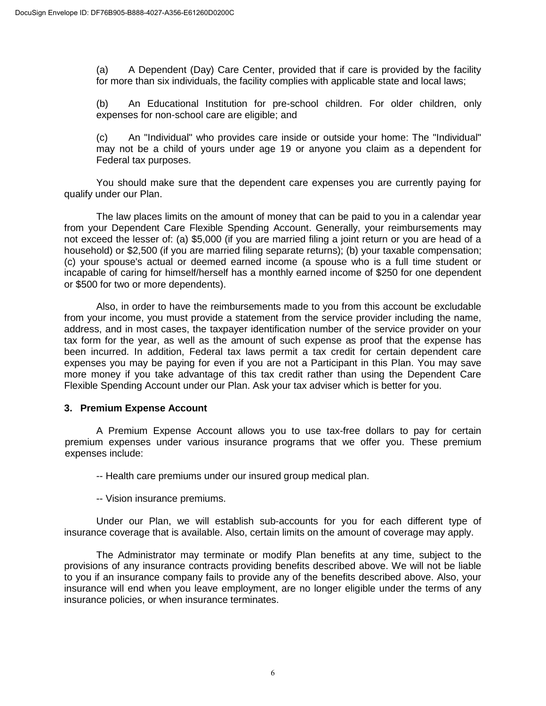(a) A Dependent (Day) Care Center, provided that if care is provided by the facility for more than six individuals, the facility complies with applicable state and local laws;

(b) An Educational Institution for pre-school children. For older children, only expenses for non-school care are eligible; and

(c) An "Individual" who provides care inside or outside your home: The "Individual" may not be a child of yours under age 19 or anyone you claim as a dependent for Federal tax purposes.

You should make sure that the dependent care expenses you are currently paying for qualify under our Plan.

The law places limits on the amount of money that can be paid to you in a calendar year from your Dependent Care Flexible Spending Account. Generally, your reimbursements may not exceed the lesser of: (a) \$5,000 (if you are married filing a joint return or you are head of a household) or \$2,500 (if you are married filing separate returns); (b) your taxable compensation; (c) your spouse's actual or deemed earned income (a spouse who is a full time student or incapable of caring for himself/herself has a monthly earned income of \$250 for one dependent or \$500 for two or more dependents).

Also, in order to have the reimbursements made to you from this account be excludable from your income, you must provide a statement from the service provider including the name, address, and in most cases, the taxpayer identification number of the service provider on your tax form for the year, as well as the amount of such expense as proof that the expense has been incurred. In addition, Federal tax laws permit a tax credit for certain dependent care expenses you may be paying for even if you are not a Participant in this Plan. You may save more money if you take advantage of this tax credit rather than using the Dependent Care Flexible Spending Account under our Plan. Ask your tax adviser which is better for you.

#### **3. Premium Expense Account**

A Premium Expense Account allows you to use tax-free dollars to pay for certain premium expenses under various insurance programs that we offer you. These premium expenses include:

-- Health care premiums under our insured group medical plan.

-- Vision insurance premiums.

Under our Plan, we will establish sub-accounts for you for each different type of insurance coverage that is available. Also, certain limits on the amount of coverage may apply.

The Administrator may terminate or modify Plan benefits at any time, subject to the provisions of any insurance contracts providing benefits described above. We will not be liable to you if an insurance company fails to provide any of the benefits described above. Also, your insurance will end when you leave employment, are no longer eligible under the terms of any insurance policies, or when insurance terminates.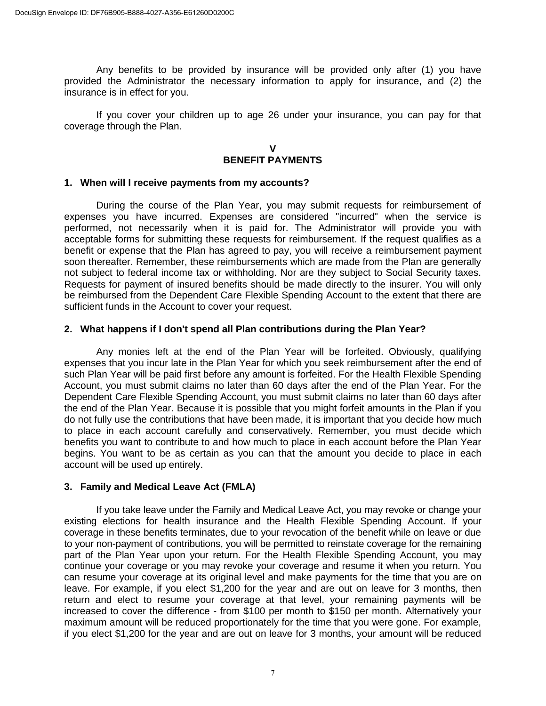Any benefits to be provided by insurance will be provided only after (1) you have provided the Administrator the necessary information to apply for insurance, and (2) the insurance is in effect for you.

If you cover your children up to age 26 under your insurance, you can pay for that coverage through the Plan.

> **V BENEFIT PAYMENTS**

#### **1. When will I receive payments from my accounts?**

During the course of the Plan Year, you may submit requests for reimbursement of expenses you have incurred. Expenses are considered "incurred" when the service is performed, not necessarily when it is paid for. The Administrator will provide you with acceptable forms for submitting these requests for reimbursement. If the request qualifies as a benefit or expense that the Plan has agreed to pay, you will receive a reimbursement payment soon thereafter. Remember, these reimbursements which are made from the Plan are generally not subject to federal income tax or withholding. Nor are they subject to Social Security taxes. Requests for payment of insured benefits should be made directly to the insurer. You will only be reimbursed from the Dependent Care Flexible Spending Account to the extent that there are sufficient funds in the Account to cover your request.

#### **2. What happens if I don't spend all Plan contributions during the Plan Year?**

Any monies left at the end of the Plan Year will be forfeited. Obviously, qualifying expenses that you incur late in the Plan Year for which you seek reimbursement after the end of such Plan Year will be paid first before any amount is forfeited. For the Health Flexible Spending Account, you must submit claims no later than 60 days after the end of the Plan Year. For the Dependent Care Flexible Spending Account, you must submit claims no later than 60 days after the end of the Plan Year. Because it is possible that you might forfeit amounts in the Plan if you do not fully use the contributions that have been made, it is important that you decide how much to place in each account carefully and conservatively. Remember, you must decide which benefits you want to contribute to and how much to place in each account before the Plan Year begins. You want to be as certain as you can that the amount you decide to place in each account will be used up entirely.

#### **3. Family and Medical Leave Act (FMLA)**

If you take leave under the Family and Medical Leave Act, you may revoke or change your existing elections for health insurance and the Health Flexible Spending Account. If your coverage in these benefits terminates, due to your revocation of the benefit while on leave or due to your non-payment of contributions, you will be permitted to reinstate coverage for the remaining part of the Plan Year upon your return. For the Health Flexible Spending Account, you may continue your coverage or you may revoke your coverage and resume it when you return. You can resume your coverage at its original level and make payments for the time that you are on leave. For example, if you elect \$1,200 for the year and are out on leave for 3 months, then return and elect to resume your coverage at that level, your remaining payments will be increased to cover the difference - from \$100 per month to \$150 per month. Alternatively your maximum amount will be reduced proportionately for the time that you were gone. For example, if you elect \$1,200 for the year and are out on leave for 3 months, your amount will be reduced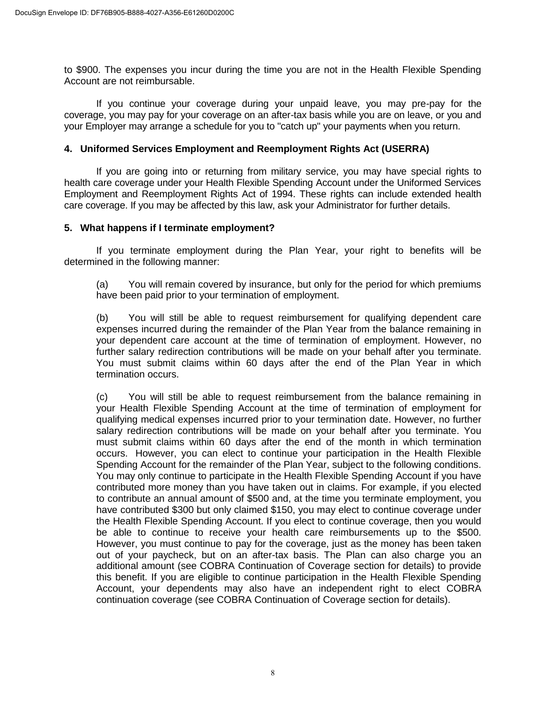to \$900. The expenses you incur during the time you are not in the Health Flexible Spending Account are not reimbursable.

If you continue your coverage during your unpaid leave, you may pre-pay for the coverage, you may pay for your coverage on an after-tax basis while you are on leave, or you and your Employer may arrange a schedule for you to "catch up" your payments when you return.

#### **4. Uniformed Services Employment and Reemployment Rights Act (USERRA)**

If you are going into or returning from military service, you may have special rights to health care coverage under your Health Flexible Spending Account under the Uniformed Services Employment and Reemployment Rights Act of 1994. These rights can include extended health care coverage. If you may be affected by this law, ask your Administrator for further details.

#### **5. What happens if I terminate employment?**

If you terminate employment during the Plan Year, your right to benefits will be determined in the following manner:

(a) You will remain covered by insurance, but only for the period for which premiums have been paid prior to your termination of employment.

(b) You will still be able to request reimbursement for qualifying dependent care expenses incurred during the remainder of the Plan Year from the balance remaining in your dependent care account at the time of termination of employment. However, no further salary redirection contributions will be made on your behalf after you terminate. You must submit claims within 60 days after the end of the Plan Year in which termination occurs.

(c) You will still be able to request reimbursement from the balance remaining in your Health Flexible Spending Account at the time of termination of employment for qualifying medical expenses incurred prior to your termination date. However, no further salary redirection contributions will be made on your behalf after you terminate. You must submit claims within 60 days after the end of the month in which termination occurs. However, you can elect to continue your participation in the Health Flexible Spending Account for the remainder of the Plan Year, subject to the following conditions. You may only continue to participate in the Health Flexible Spending Account if you have contributed more money than you have taken out in claims. For example, if you elected to contribute an annual amount of \$500 and, at the time you terminate employment, you have contributed \$300 but only claimed \$150, you may elect to continue coverage under the Health Flexible Spending Account. If you elect to continue coverage, then you would be able to continue to receive your health care reimbursements up to the \$500. However, you must continue to pay for the coverage, just as the money has been taken out of your paycheck, but on an after-tax basis. The Plan can also charge you an additional amount (see COBRA Continuation of Coverage section for details) to provide this benefit. If you are eligible to continue participation in the Health Flexible Spending Account, your dependents may also have an independent right to elect COBRA continuation coverage (see COBRA Continuation of Coverage section for details).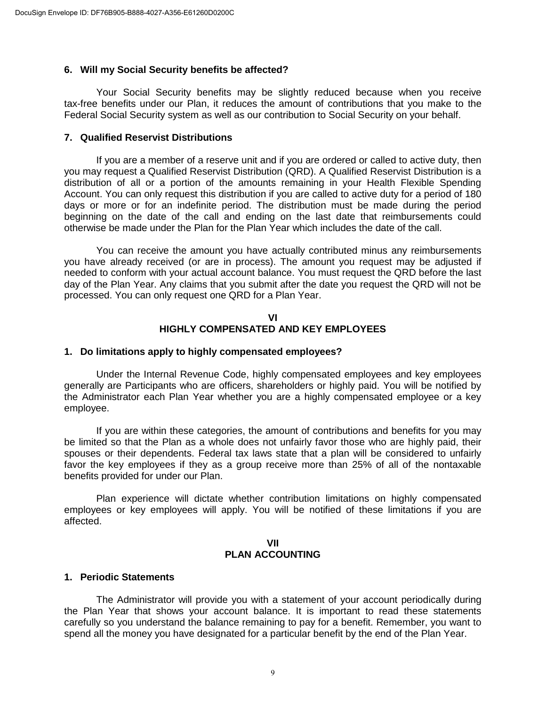#### **6. Will my Social Security benefits be affected?**

Your Social Security benefits may be slightly reduced because when you receive tax-free benefits under our Plan, it reduces the amount of contributions that you make to the Federal Social Security system as well as our contribution to Social Security on your behalf.

#### **7. Qualified Reservist Distributions**

If you are a member of a reserve unit and if you are ordered or called to active duty, then you may request a Qualified Reservist Distribution (QRD). A Qualified Reservist Distribution is a distribution of all or a portion of the amounts remaining in your Health Flexible Spending Account. You can only request this distribution if you are called to active duty for a period of 180 days or more or for an indefinite period. The distribution must be made during the period beginning on the date of the call and ending on the last date that reimbursements could otherwise be made under the Plan for the Plan Year which includes the date of the call.

You can receive the amount you have actually contributed minus any reimbursements you have already received (or are in process). The amount you request may be adjusted if needed to conform with your actual account balance. You must request the QRD before the last day of the Plan Year. Any claims that you submit after the date you request the QRD will not be processed. You can only request one QRD for a Plan Year.

#### **VI HIGHLY COMPENSATED AND KEY EMPLOYEES**

#### **1. Do limitations apply to highly compensated employees?**

Under the Internal Revenue Code, highly compensated employees and key employees generally are Participants who are officers, shareholders or highly paid. You will be notified by the Administrator each Plan Year whether you are a highly compensated employee or a key employee.

If you are within these categories, the amount of contributions and benefits for you may be limited so that the Plan as a whole does not unfairly favor those who are highly paid, their spouses or their dependents. Federal tax laws state that a plan will be considered to unfairly favor the key employees if they as a group receive more than 25% of all of the nontaxable benefits provided for under our Plan.

Plan experience will dictate whether contribution limitations on highly compensated employees or key employees will apply. You will be notified of these limitations if you are affected.

#### **VII PLAN ACCOUNTING**

#### **1. Periodic Statements**

The Administrator will provide you with a statement of your account periodically during the Plan Year that shows your account balance. It is important to read these statements carefully so you understand the balance remaining to pay for a benefit. Remember, you want to spend all the money you have designated for a particular benefit by the end of the Plan Year.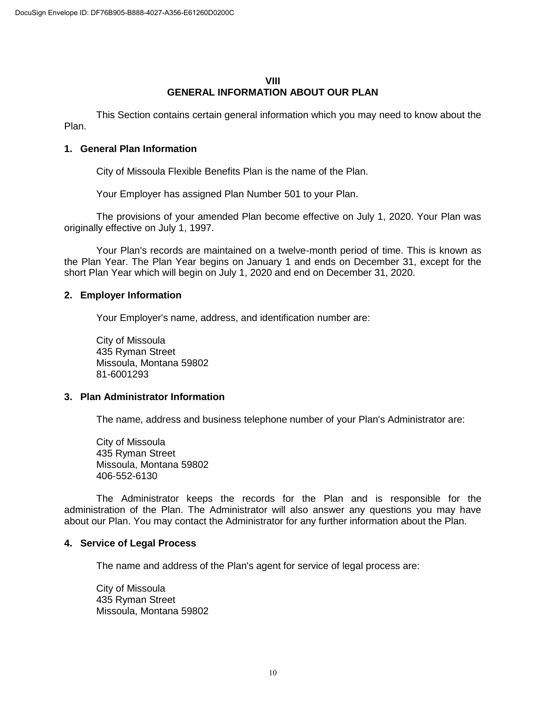#### **VIII GENERAL INFORMATION ABOUT OUR PLAN**

This Section contains certain general information which you may need to know about the Plan.

#### **1. General Plan Information**

City of Missoula Flexible Benefits Plan is the name of the Plan.

Your Employer has assigned Plan Number 501 to your Plan.

The provisions of your amended Plan become effective on July 1, 2020. Your Plan was originally effective on July 1, 1997.

Your Plan's records are maintained on a twelve-month period of time. This is known as the Plan Year. The Plan Year begins on January 1 and ends on December 31, except for the short Plan Year which will begin on July 1, 2020 and end on December 31, 2020.

#### **2. Employer Information**

Your Employer's name, address, and identification number are:

City of Missoula 435 Ryman Street Missoula, Montana 59802 81-6001293

#### **3. Plan Administrator Information**

The name, address and business telephone number of your Plan's Administrator are:

City of Missoula 435 Ryman Street Missoula, Montana 59802 406-552-6130

The Administrator keeps the records for the Plan and is responsible for the administration of the Plan. The Administrator will also answer any questions you may have about our Plan. You may contact the Administrator for any further information about the Plan.

#### **4. Service of Legal Process**

The name and address of the Plan's agent for service of legal process are:

City of Missoula 435 Ryman Street Missoula, Montana 59802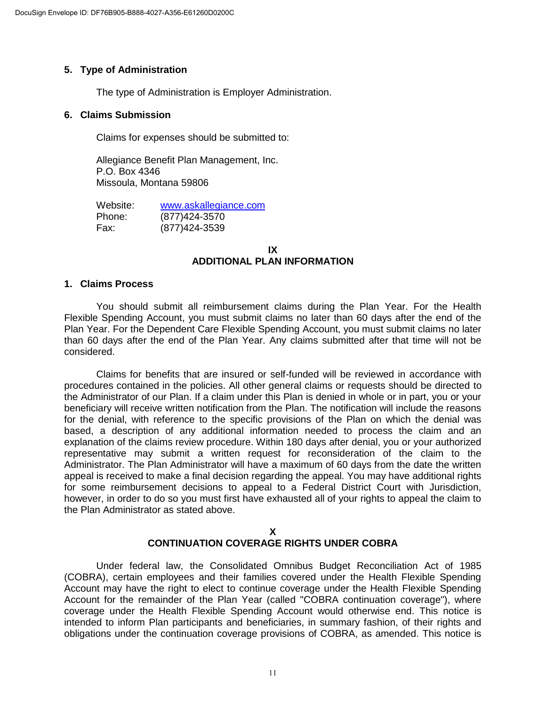## **5. Type of Administration**

The type of Administration is Employer Administration.

#### **6. Claims Submission**

Claims for expenses should be submitted to:

Allegiance Benefit Plan Management, Inc. P.O. Box 4346 Missoula, Montana 59806

Website: [www.askallegiance.com](http://www.askallegiance.com/) Phone: (877)424-3570 Fax: (877)424-3539

#### **IX ADDITIONAL PLAN INFORMATION**

#### **1. Claims Process**

You should submit all reimbursement claims during the Plan Year. For the Health Flexible Spending Account, you must submit claims no later than 60 days after the end of the Plan Year. For the Dependent Care Flexible Spending Account, you must submit claims no later than 60 days after the end of the Plan Year. Any claims submitted after that time will not be considered.

Claims for benefits that are insured or self-funded will be reviewed in accordance with procedures contained in the policies. All other general claims or requests should be directed to the Administrator of our Plan. If a claim under this Plan is denied in whole or in part, you or your beneficiary will receive written notification from the Plan. The notification will include the reasons for the denial, with reference to the specific provisions of the Plan on which the denial was based, a description of any additional information needed to process the claim and an explanation of the claims review procedure. Within 180 days after denial, you or your authorized representative may submit a written request for reconsideration of the claim to the Administrator. The Plan Administrator will have a maximum of 60 days from the date the written appeal is received to make a final decision regarding the appeal. You may have additional rights for some reimbursement decisions to appeal to a Federal District Court with Jurisdiction, however, in order to do so you must first have exhausted all of your rights to appeal the claim to the Plan Administrator as stated above.

#### **X CONTINUATION COVERAGE RIGHTS UNDER COBRA**

Under federal law, the Consolidated Omnibus Budget Reconciliation Act of 1985 (COBRA), certain employees and their families covered under the Health Flexible Spending Account may have the right to elect to continue coverage under the Health Flexible Spending Account for the remainder of the Plan Year (called "COBRA continuation coverage"), where coverage under the Health Flexible Spending Account would otherwise end. This notice is intended to inform Plan participants and beneficiaries, in summary fashion, of their rights and obligations under the continuation coverage provisions of COBRA, as amended. This notice is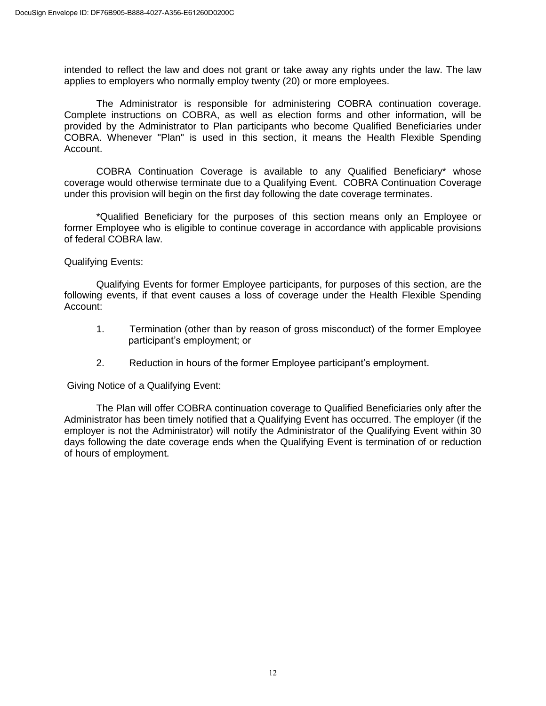intended to reflect the law and does not grant or take away any rights under the law. The law applies to employers who normally employ twenty (20) or more employees.

The Administrator is responsible for administering COBRA continuation coverage. Complete instructions on COBRA, as well as election forms and other information, will be provided by the Administrator to Plan participants who become Qualified Beneficiaries under COBRA. Whenever "Plan" is used in this section, it means the Health Flexible Spending Account.

COBRA Continuation Coverage is available to any Qualified Beneficiary\* whose coverage would otherwise terminate due to a Qualifying Event. COBRA Continuation Coverage under this provision will begin on the first day following the date coverage terminates.

\*Qualified Beneficiary for the purposes of this section means only an Employee or former Employee who is eligible to continue coverage in accordance with applicable provisions of federal COBRA law.

Qualifying Events:

Qualifying Events for former Employee participants, for purposes of this section, are the following events, if that event causes a loss of coverage under the Health Flexible Spending Account:

- 1. Termination (other than by reason of gross misconduct) of the former Employee participant's employment; or
- 2. Reduction in hours of the former Employee participant's employment.

Giving Notice of a Qualifying Event:

The Plan will offer COBRA continuation coverage to Qualified Beneficiaries only after the Administrator has been timely notified that a Qualifying Event has occurred. The employer (if the employer is not the Administrator) will notify the Administrator of the Qualifying Event within 30 days following the date coverage ends when the Qualifying Event is termination of or reduction of hours of employment.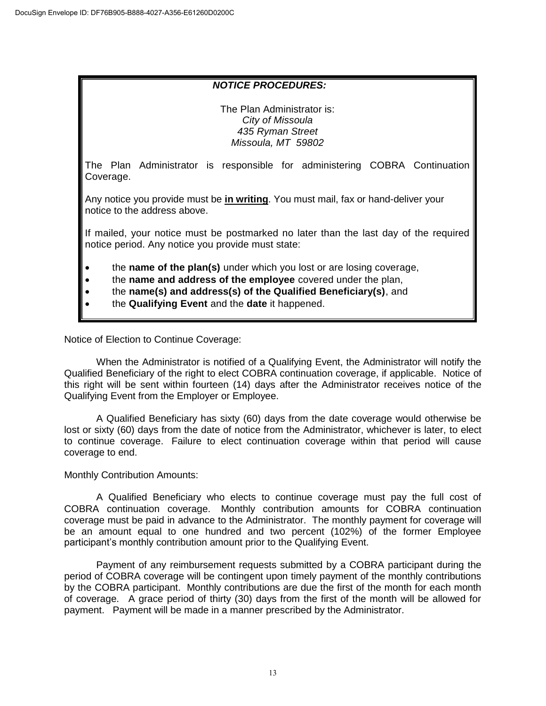#### *NOTICE PROCEDURES:*

The Plan Administrator is: *City of Missoula 435 Ryman Street Missoula, MT 59802*

The Plan Administrator is responsible for administering COBRA Continuation Coverage.

Any notice you provide must be **in writing**. You must mail, fax or hand-deliver your notice to the address above.

If mailed, your notice must be postmarked no later than the last day of the required notice period. Any notice you provide must state:

- the **name of the plan(s)** under which you lost or are losing coverage,
- the **name and address of the employee** covered under the plan,
- the **name(s) and address(s) of the Qualified Beneficiary(s)**, and
- the **Qualifying Event** and the **date** it happened.

Notice of Election to Continue Coverage:

When the Administrator is notified of a Qualifying Event, the Administrator will notify the Qualified Beneficiary of the right to elect COBRA continuation coverage, if applicable. Notice of this right will be sent within fourteen (14) days after the Administrator receives notice of the Qualifying Event from the Employer or Employee.

A Qualified Beneficiary has sixty (60) days from the date coverage would otherwise be lost or sixty (60) days from the date of notice from the Administrator, whichever is later, to elect to continue coverage. Failure to elect continuation coverage within that period will cause coverage to end.

#### Monthly Contribution Amounts:

A Qualified Beneficiary who elects to continue coverage must pay the full cost of COBRA continuation coverage. Monthly contribution amounts for COBRA continuation coverage must be paid in advance to the Administrator. The monthly payment for coverage will be an amount equal to one hundred and two percent (102%) of the former Employee participant's monthly contribution amount prior to the Qualifying Event.

Payment of any reimbursement requests submitted by a COBRA participant during the period of COBRA coverage will be contingent upon timely payment of the monthly contributions by the COBRA participant. Monthly contributions are due the first of the month for each month of coverage. A grace period of thirty (30) days from the first of the month will be allowed for payment. Payment will be made in a manner prescribed by the Administrator.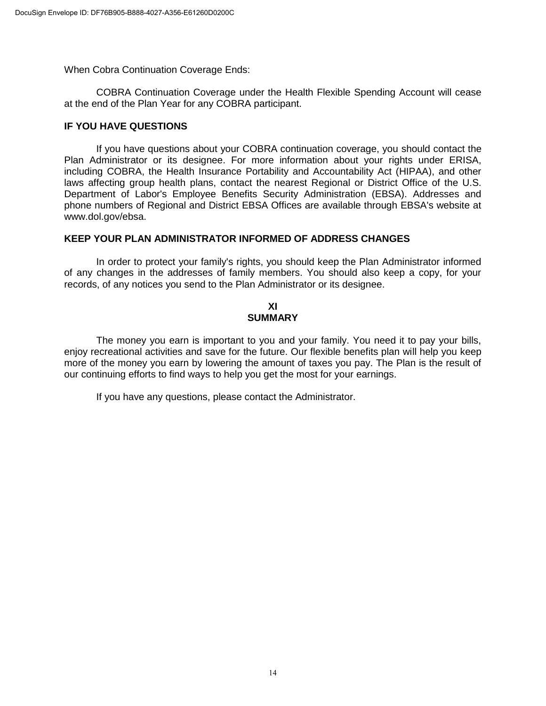When Cobra Continuation Coverage Ends:

COBRA Continuation Coverage under the Health Flexible Spending Account will cease at the end of the Plan Year for any COBRA participant.

#### **IF YOU HAVE QUESTIONS**

If you have questions about your COBRA continuation coverage, you should contact the Plan Administrator or its designee. For more information about your rights under ERISA, including COBRA, the Health Insurance Portability and Accountability Act (HIPAA), and other laws affecting group health plans, contact the nearest Regional or District Office of the U.S. Department of Labor's Employee Benefits Security Administration (EBSA). Addresses and phone numbers of Regional and District EBSA Offices are available through EBSA's website at www.dol.gov/ebsa.

#### **KEEP YOUR PLAN ADMINISTRATOR INFORMED OF ADDRESS CHANGES**

In order to protect your family's rights, you should keep the Plan Administrator informed of any changes in the addresses of family members. You should also keep a copy, for your records, of any notices you send to the Plan Administrator or its designee.

#### **XI SUMMARY**

The money you earn is important to you and your family. You need it to pay your bills, enjoy recreational activities and save for the future. Our flexible benefits plan will help you keep more of the money you earn by lowering the amount of taxes you pay. The Plan is the result of our continuing efforts to find ways to help you get the most for your earnings.

If you have any questions, please contact the Administrator.